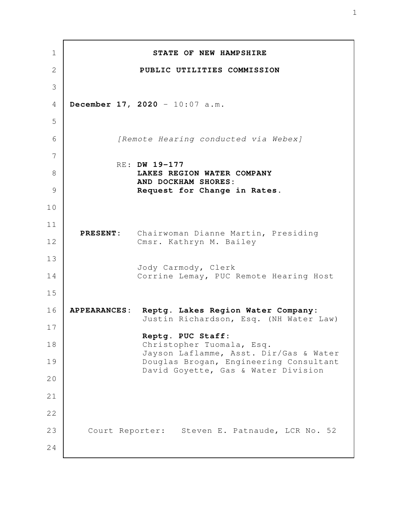**STATE OF NEW HAMPSHIRE PUBLIC UTILITIES COMMISSION December 17, 2020** - 10:07 a.m. *[Remote Hearing conducted via Webex]* RE: **DW 19-177 LAKES REGION WATER COMPANY AND DOCKHAM SHORES: Request for Change in Rates. PRESENT:** Chairwoman Dianne Martin, Presiding Cmsr. Kathryn M. Bailey Jody Carmody, Clerk Corrine Lemay, PUC Remote Hearing Host **APPEARANCES: Reptg. Lakes Region Water Company:** Justin Richardson, Esq. (NH Water Law) **Reptg. PUC Staff:** Christopher Tuomala, Esq. Jayson Laflamme, Asst. Dir/Gas & Water Douglas Brogan, Engineering Consultant David Goyette, Gas & Water Division Court Reporter: Steven E. Patnaude, LCR No. 52 1 2 3 4 5 6 7 8 9 10 11 12 13 14 15 16 17 18 19 20 21 22 23 24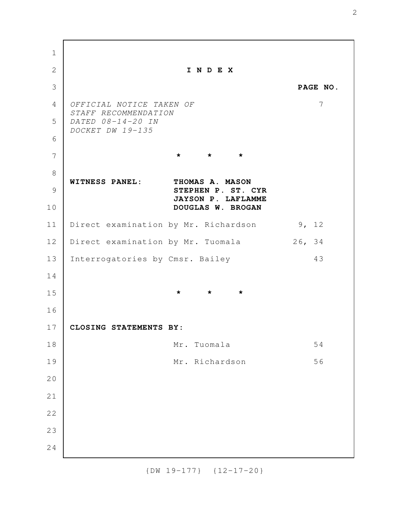**I N D E X PAGE NO.** *OFFICIAL NOTICE TAKEN OF* 7 *STAFF RECOMMENDATION DATED 08-14-20 IN DOCKET DW 19-135* **\* \* \* WITNESS PANEL: THOMAS A. MASON STEPHEN P. ST. CYR JAYSON P. LAFLAMME DOUGLAS W. BROGAN** Direct examination by Mr. Richardson 9, 12 Direct examination by Mr. Tuomala 26, 34 Interrogatories by Cmsr. Bailey 43 **\* \* \* CLOSING STATEMENTS BY:** Mr. Tuomala 54 Mr. Richardson 56 1 2 3 4 5 6 7 8 9 10 11 12 13 14 15 16 17 18 19 20 21 22 23 24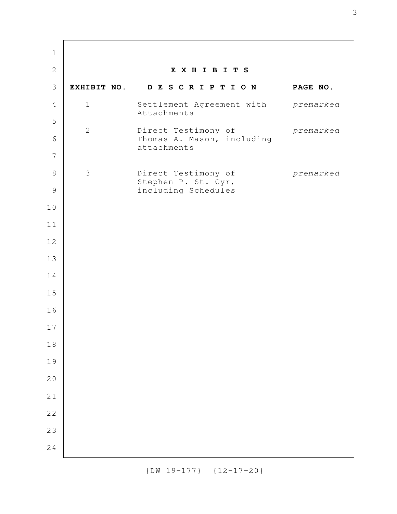**E X H I B I T S EXHIBIT NO. D E S C R I P T I O N PAGE NO.** 1 Settlement Agreement with *premarked* Attachments 2 Direct Testimony of *premarked* Thomas A. Mason, including attachments 3 Direct Testimony of *premarked* Stephen P. St. Cyr, including Schedules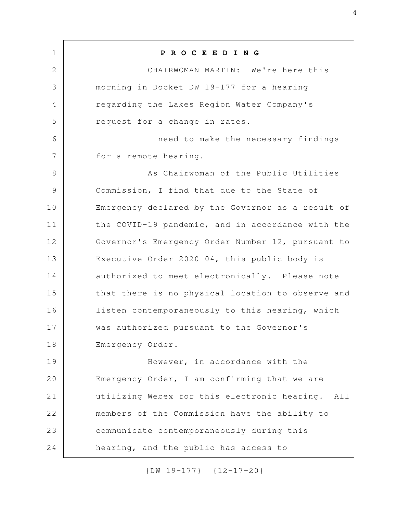**P R O C E E D I N G** CHAIRWOMAN MARTIN: We're here this morning in Docket DW 19-177 for a hearing regarding the Lakes Region Water Company's request for a change in rates. I need to make the necessary findings for a remote hearing. As Chairwoman of the Public Utilities Commission, I find that due to the State of Emergency declared by the Governor as a result of the COVID-19 pandemic, and in accordance with the Governor's Emergency Order Number 12, pursuant to Executive Order 2020-04, this public body is authorized to meet electronically. Please note that there is no physical location to observe and listen contemporaneously to this hearing, which was authorized pursuant to the Governor's Emergency Order. However, in accordance with the Emergency Order, I am confirming that we are utilizing Webex for this electronic hearing. All members of the Commission have the ability to communicate contemporaneously during this hearing, and the public has access to 1 2 3 4 5 6 7 8 9 10 11 12 13 14 15 16 17 18 19 20 21 22 23 24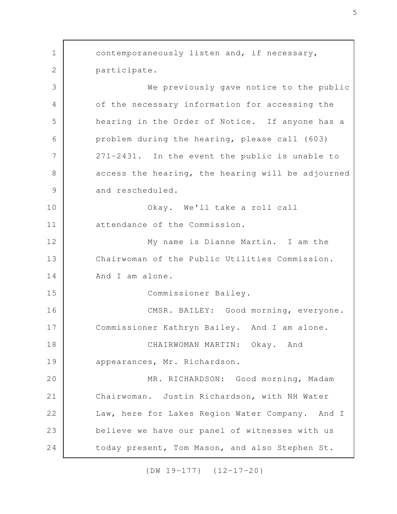contemporaneously listen and, if necessary, participate. We previously gave notice to the public of the necessary information for accessing the hearing in the Order of Notice. If anyone has a problem during the hearing, please call (603) 271-2431. In the event the public is unable to access the hearing, the hearing will be adjourned and rescheduled. Okay. We'll take a roll call attendance of the Commission. My name is Dianne Martin. I am the Chairwoman of the Public Utilities Commission. And I am alone. Commissioner Bailey. CMSR. BAILEY: Good morning, everyone. Commissioner Kathryn Bailey. And I am alone. CHAIRWOMAN MARTIN: Okay. And appearances, Mr. Richardson. MR. RICHARDSON: Good morning, Madam Chairwoman. Justin Richardson, with NH Water Law, here for Lakes Region Water Company. And I believe we have our panel of witnesses with us today present, Tom Mason, and also Stephen St. 1 2 3 4 5 6 7 8 9 10 11 12 13 14 15 16 17 18 19 20 21 22 23 24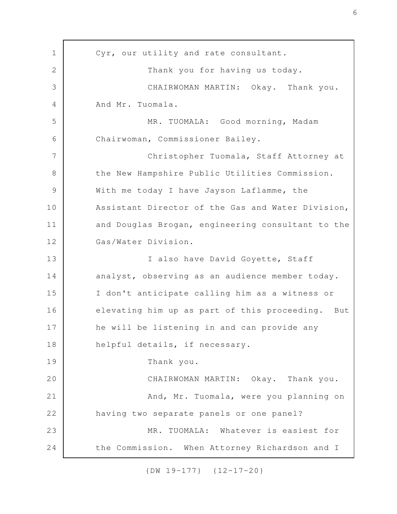Cyr, our utility and rate consultant. Thank you for having us today. CHAIRWOMAN MARTIN: Okay. Thank you. And Mr. Tuomala. MR. TUOMALA: Good morning, Madam Chairwoman, Commissioner Bailey. Christopher Tuomala, Staff Attorney at the New Hampshire Public Utilities Commission. With me today I have Jayson Laflamme, the Assistant Director of the Gas and Water Division, and Douglas Brogan, engineering consultant to the Gas/Water Division. I also have David Goyette, Staff analyst, observing as an audience member today. I don't anticipate calling him as a witness or elevating him up as part of this proceeding. But he will be listening in and can provide any helpful details, if necessary. Thank you. CHAIRWOMAN MARTIN: Okay. Thank you. And, Mr. Tuomala, were you planning on having two separate panels or one panel? MR. TUOMALA: Whatever is easiest for the Commission. When Attorney Richardson and I 1 2 3 4 5 6 7 8 9 10 11 12 13 14 15 16 17 18 19 20 21 22 23 24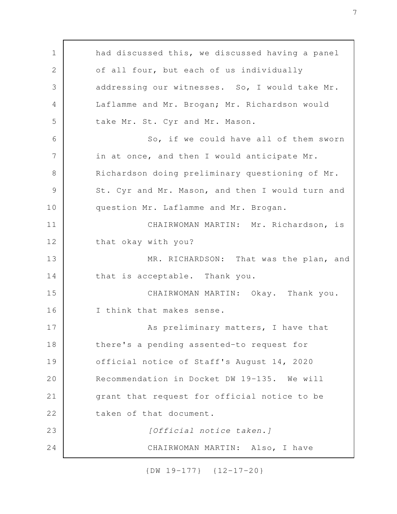had discussed this, we discussed having a panel of all four, but each of us individually addressing our witnesses. So, I would take Mr. Laflamme and Mr. Brogan; Mr. Richardson would take Mr. St. Cyr and Mr. Mason. So, if we could have all of them sworn in at once, and then I would anticipate Mr. Richardson doing preliminary questioning of Mr. St. Cyr and Mr. Mason, and then I would turn and question Mr. Laflamme and Mr. Brogan. CHAIRWOMAN MARTIN: Mr. Richardson, is that okay with you? MR. RICHARDSON: That was the plan, and that is acceptable. Thank you. CHAIRWOMAN MARTIN: Okay. Thank you. I think that makes sense. As preliminary matters, I have that there's a pending assented-to request for official notice of Staff's August 14, 2020 Recommendation in Docket DW 19-135. We will grant that request for official notice to be taken of that document. *[Official notice taken.]* CHAIRWOMAN MARTIN: Also, I have 1 2 3 4 5 6 7 8 9 10 11 12 13 14 15 16 17 18 19 20 21 22 23 24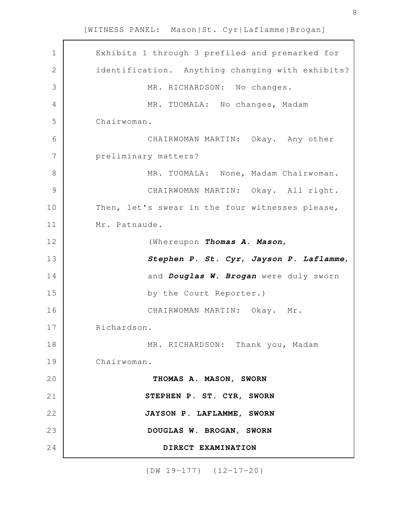Exhibits 1 through 3 prefiled and premarked for identification. Anything changing with exhibits? MR. RICHARDSON: No changes. MR. TUOMALA: No changes, Madam Chairwoman. CHAIRWOMAN MARTIN: Okay. Any other preliminary matters? MR. TUOMALA: None, Madam Chairwoman. CHAIRWOMAN MARTIN: Okay. All right. Then, let's swear in the four witnesses please, Mr. Patnaude. (Whereupon *Thomas A. Mason*, *Stephen P. St. Cyr*, *Jayson P. Laflamme*, and *Douglas W. Brogan* were duly sworn by the Court Reporter.) CHAIRWOMAN MARTIN: Okay. Mr. Richardson. MR. RICHARDSON: Thank you, Madam Chairwoman. **THOMAS A. MASON, SWORN STEPHEN P. ST. CYR, SWORN JAYSON P. LAFLAMME, SWORN DOUGLAS W. BROGAN, SWORN DIRECT EXAMINATION** 1 2 3 4 5 6 7 8 9 10 11 12 13 14 15 16 17 18 19 20 21 22 23 24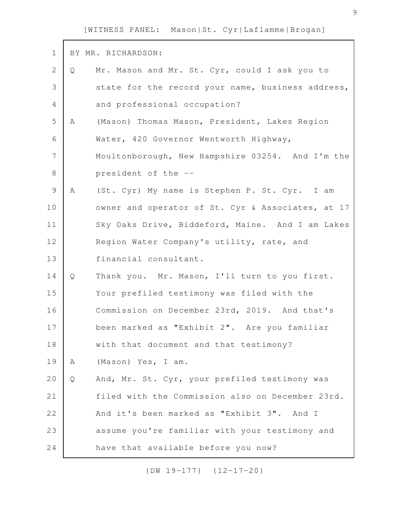| $\mathbf 1$    |   | BY MR. RICHARDSON:                                |
|----------------|---|---------------------------------------------------|
| $\mathbf{2}$   | Q | Mr. Mason and Mr. St. Cyr, could I ask you to     |
| 3              |   | state for the record your name, business address, |
| 4              |   | and professional occupation?                      |
| 5              | A | (Mason) Thomas Mason, President, Lakes Region     |
| 6              |   | Water, 420 Governor Wentworth Highway,            |
| $\overline{7}$ |   | Moultonborough, New Hampshire 03254. And I'm the  |
| $8\,$          |   | president of the --                               |
| $\mathsf 9$    | A | (St. Cyr) My name is Stephen P. St. Cyr. I am     |
| 10             |   | owner and operator of St. Cyr & Associates, at 17 |
| 11             |   | Sky Oaks Drive, Biddeford, Maine. And I am Lakes  |
| 12             |   | Region Water Company's utility, rate, and         |
| 13             |   | financial consultant.                             |
| 14             | Q | Thank you. Mr. Mason, I'll turn to you first.     |
| 15             |   | Your prefiled testimony was filed with the        |
| 16             |   | Commission on December 23rd, 2019. And that's     |
| 17             |   | been marked as "Exhibit 2". Are you familiar      |
| 18             |   | with that document and that testimony?            |
| 19             | Α | (Mason) Yes, I am.                                |
| 20             | Q | And, Mr. St. Cyr, your prefiled testimony was     |
| 21             |   | filed with the Commission also on December 23rd.  |
| 22             |   | And it's been marked as "Exhibit 3". And I        |
| 23             |   | assume you're familiar with your testimony and    |
| 24             |   | have that available before you now?               |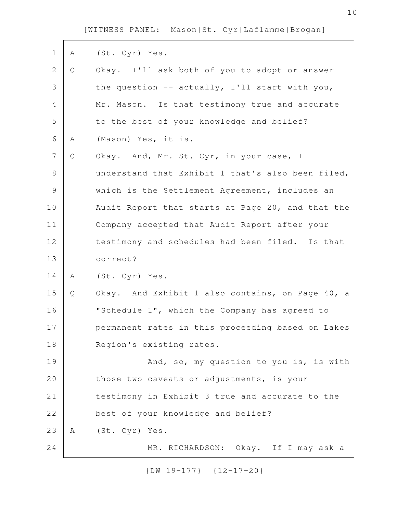| $\mathbf 1$    | A | (St. Cyr) Yes.                                    |
|----------------|---|---------------------------------------------------|
| $\mathbf{2}$   | Q | Okay. I'll ask both of you to adopt or answer     |
| 3              |   | the question -- actually, I'll start with you,    |
| 4              |   | Mr. Mason. Is that testimony true and accurate    |
| 5              |   | to the best of your knowledge and belief?         |
| 6              | Α | (Mason) Yes, it is.                               |
| $\overline{7}$ | Q | Okay. And, Mr. St. Cyr, in your case, I           |
| $8\,$          |   | understand that Exhibit 1 that's also been filed, |
| $\mathcal{G}$  |   | which is the Settlement Agreement, includes an    |
| 10             |   | Audit Report that starts at Page 20, and that the |
| 11             |   | Company accepted that Audit Report after your     |
| 12             |   | testimony and schedules had been filed. Is that   |
| 13             |   | correct?                                          |
| 14             | A | (St. Cyr) Yes.                                    |
| 15             | Q | Okay. And Exhibit 1 also contains, on Page 40, a  |
| 16             |   | "Schedule 1", which the Company has agreed to     |
| 17             |   | permanent rates in this proceeding based on Lakes |
| 18             |   | Region's existing rates.                          |
| 19             |   | And, so, my question to you is, is with           |
| 20             |   | those two caveats or adjustments, is your         |
| 21             |   | testimony in Exhibit 3 true and accurate to the   |
| 22             |   | best of your knowledge and belief?                |
| 23             | A | (St. Cyr) Yes.                                    |
| 24             |   | MR. RICHARDSON: Okay. If I may ask a              |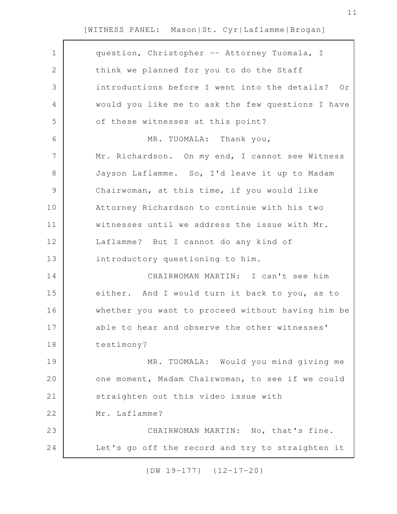| $\mathbf 1$<br>question, Christopher -- Attorney Tuomala, I<br>$\mathbf{2}$<br>think we planned for you to do the Staff<br>3<br>introductions before I went into the details? Or<br>$\overline{4}$<br>would you like me to ask the few questions I have<br>5<br>of these witnesses at this point?<br>6<br>MR. TUOMALA: Thank you,<br>$\overline{7}$<br>Mr. Richardson. On my end, I cannot see Witness<br>Jayson Laflamme. So, I'd leave it up to Madam<br>8<br>9<br>Chairwoman, at this time, if you would like<br>10<br>Attorney Richardson to continue with his two<br>11<br>witnesses until we address the issue with Mr.<br>12<br>Laflamme? But I cannot do any kind of<br>13<br>introductory questioning to him.<br>CHAIRWOMAN MARTIN: I can't see him<br>14<br>15<br>either. And I would turn it back to you, as to<br>whether you want to proceed without having him be<br>16<br>able to hear and observe the other witnesses'<br>17<br>18<br>testimony?<br>19<br>MR. TUOMALA: Would you mind giving me<br>20<br>one moment, Madam Chairwoman, to see if we could<br>21<br>straighten out this video issue with<br>22<br>Mr. Laflamme?<br>23<br>CHAIRWOMAN MARTIN: No, that's fine.<br>Let's go off the record and try to straighten it<br>24 |  |
|-------------------------------------------------------------------------------------------------------------------------------------------------------------------------------------------------------------------------------------------------------------------------------------------------------------------------------------------------------------------------------------------------------------------------------------------------------------------------------------------------------------------------------------------------------------------------------------------------------------------------------------------------------------------------------------------------------------------------------------------------------------------------------------------------------------------------------------------------------------------------------------------------------------------------------------------------------------------------------------------------------------------------------------------------------------------------------------------------------------------------------------------------------------------------------------------------------------------------------------------------------|--|
|                                                                                                                                                                                                                                                                                                                                                                                                                                                                                                                                                                                                                                                                                                                                                                                                                                                                                                                                                                                                                                                                                                                                                                                                                                                       |  |
|                                                                                                                                                                                                                                                                                                                                                                                                                                                                                                                                                                                                                                                                                                                                                                                                                                                                                                                                                                                                                                                                                                                                                                                                                                                       |  |
|                                                                                                                                                                                                                                                                                                                                                                                                                                                                                                                                                                                                                                                                                                                                                                                                                                                                                                                                                                                                                                                                                                                                                                                                                                                       |  |
|                                                                                                                                                                                                                                                                                                                                                                                                                                                                                                                                                                                                                                                                                                                                                                                                                                                                                                                                                                                                                                                                                                                                                                                                                                                       |  |
|                                                                                                                                                                                                                                                                                                                                                                                                                                                                                                                                                                                                                                                                                                                                                                                                                                                                                                                                                                                                                                                                                                                                                                                                                                                       |  |
|                                                                                                                                                                                                                                                                                                                                                                                                                                                                                                                                                                                                                                                                                                                                                                                                                                                                                                                                                                                                                                                                                                                                                                                                                                                       |  |
|                                                                                                                                                                                                                                                                                                                                                                                                                                                                                                                                                                                                                                                                                                                                                                                                                                                                                                                                                                                                                                                                                                                                                                                                                                                       |  |
|                                                                                                                                                                                                                                                                                                                                                                                                                                                                                                                                                                                                                                                                                                                                                                                                                                                                                                                                                                                                                                                                                                                                                                                                                                                       |  |
|                                                                                                                                                                                                                                                                                                                                                                                                                                                                                                                                                                                                                                                                                                                                                                                                                                                                                                                                                                                                                                                                                                                                                                                                                                                       |  |
|                                                                                                                                                                                                                                                                                                                                                                                                                                                                                                                                                                                                                                                                                                                                                                                                                                                                                                                                                                                                                                                                                                                                                                                                                                                       |  |
|                                                                                                                                                                                                                                                                                                                                                                                                                                                                                                                                                                                                                                                                                                                                                                                                                                                                                                                                                                                                                                                                                                                                                                                                                                                       |  |
|                                                                                                                                                                                                                                                                                                                                                                                                                                                                                                                                                                                                                                                                                                                                                                                                                                                                                                                                                                                                                                                                                                                                                                                                                                                       |  |
|                                                                                                                                                                                                                                                                                                                                                                                                                                                                                                                                                                                                                                                                                                                                                                                                                                                                                                                                                                                                                                                                                                                                                                                                                                                       |  |
|                                                                                                                                                                                                                                                                                                                                                                                                                                                                                                                                                                                                                                                                                                                                                                                                                                                                                                                                                                                                                                                                                                                                                                                                                                                       |  |
|                                                                                                                                                                                                                                                                                                                                                                                                                                                                                                                                                                                                                                                                                                                                                                                                                                                                                                                                                                                                                                                                                                                                                                                                                                                       |  |
|                                                                                                                                                                                                                                                                                                                                                                                                                                                                                                                                                                                                                                                                                                                                                                                                                                                                                                                                                                                                                                                                                                                                                                                                                                                       |  |
|                                                                                                                                                                                                                                                                                                                                                                                                                                                                                                                                                                                                                                                                                                                                                                                                                                                                                                                                                                                                                                                                                                                                                                                                                                                       |  |
|                                                                                                                                                                                                                                                                                                                                                                                                                                                                                                                                                                                                                                                                                                                                                                                                                                                                                                                                                                                                                                                                                                                                                                                                                                                       |  |
|                                                                                                                                                                                                                                                                                                                                                                                                                                                                                                                                                                                                                                                                                                                                                                                                                                                                                                                                                                                                                                                                                                                                                                                                                                                       |  |
|                                                                                                                                                                                                                                                                                                                                                                                                                                                                                                                                                                                                                                                                                                                                                                                                                                                                                                                                                                                                                                                                                                                                                                                                                                                       |  |
|                                                                                                                                                                                                                                                                                                                                                                                                                                                                                                                                                                                                                                                                                                                                                                                                                                                                                                                                                                                                                                                                                                                                                                                                                                                       |  |
|                                                                                                                                                                                                                                                                                                                                                                                                                                                                                                                                                                                                                                                                                                                                                                                                                                                                                                                                                                                                                                                                                                                                                                                                                                                       |  |
|                                                                                                                                                                                                                                                                                                                                                                                                                                                                                                                                                                                                                                                                                                                                                                                                                                                                                                                                                                                                                                                                                                                                                                                                                                                       |  |
|                                                                                                                                                                                                                                                                                                                                                                                                                                                                                                                                                                                                                                                                                                                                                                                                                                                                                                                                                                                                                                                                                                                                                                                                                                                       |  |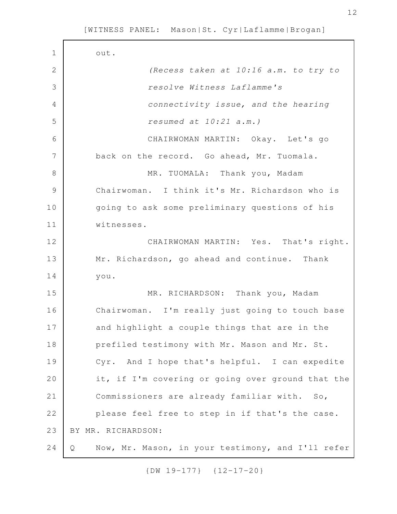| $1\,$          | out.                                                   |
|----------------|--------------------------------------------------------|
| $\mathbf{2}$   | (Recess taken at 10:16 a.m. to try to                  |
| 3              | resolve Witness Laflamme's                             |
| $\overline{4}$ | connectivity issue, and the hearing                    |
| 5              | resumed at $10:21$ a.m.)                               |
| 6              | CHAIRWOMAN MARTIN: Okay. Let's go                      |
| 7              | back on the record. Go ahead, Mr. Tuomala.             |
| 8              | MR. TUOMALA: Thank you, Madam                          |
| $\mathcal{G}$  | Chairwoman. I think it's Mr. Richardson who is         |
| 10             | going to ask some preliminary questions of his         |
| 11             | witnesses.                                             |
| 12             | CHAIRWOMAN MARTIN: Yes. That's right.                  |
| 13             | Mr. Richardson, go ahead and continue. Thank           |
| 14             | you.                                                   |
| 15             | MR. RICHARDSON: Thank you, Madam                       |
| 16             | Chairwoman. I'm really just going to touch base        |
| 17             | and highlight a couple things that are in the          |
| 18             | prefiled testimony with Mr. Mason and Mr. St.          |
| 19             | Cyr. And I hope that's helpful. I can expedite         |
| 20             | it, if I'm covering or going over ground that the      |
| 21             | Commissioners are already familiar with. So,           |
| 22             | please feel free to step in if that's the case.        |
| 23             | BY MR. RICHARDSON:                                     |
| 24             | Now, Mr. Mason, in your testimony, and I'll refer<br>Q |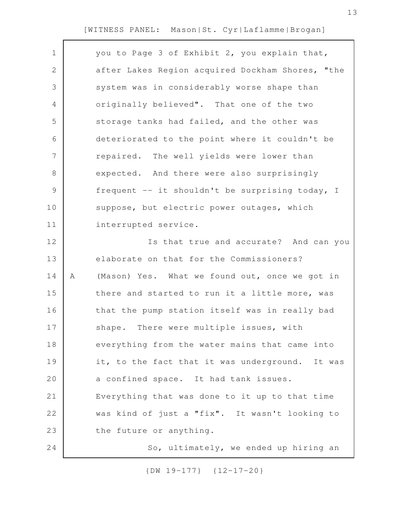you to Page 3 of Exhibit 2, you explain that, after Lakes Region acquired Dockham Shores, "the system was in considerably worse shape than originally believed". That one of the two storage tanks had failed, and the other was deteriorated to the point where it couldn't be repaired. The well yields were lower than expected. And there were also surprisingly frequent -- it shouldn't be surprising today, I suppose, but electric power outages, which interrupted service. Is that true and accurate? And can you elaborate on that for the Commissioners? A (Mason) Yes. What we found out, once we got in there and started to run it a little more, was that the pump station itself was in really bad shape. There were multiple issues, with everything from the water mains that came into it, to the fact that it was underground. It was a confined space. It had tank issues. Everything that was done to it up to that time was kind of just a "fix". It wasn't looking to the future or anything. So, ultimately, we ended up hiring an 1 2 3 4 5 6 7 8 9 10 11 12 13 14 15 16 17 18 19 20 21 22 23 24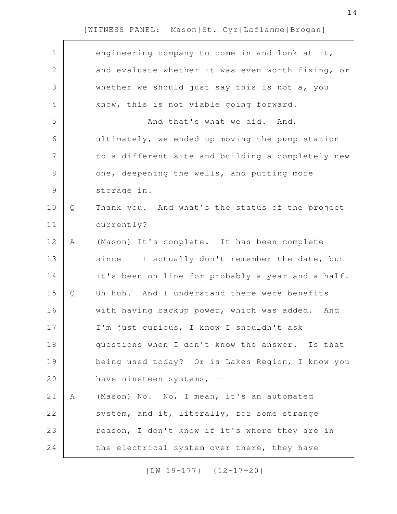| $\mathbf 1$    |   | engineering company to come in and look at it,    |
|----------------|---|---------------------------------------------------|
| $\mathbf{2}$   |   | and evaluate whether it was even worth fixing, or |
| 3              |   | whether we should just say this is not a, you     |
| $\overline{4}$ |   | know, this is not viable going forward.           |
| 5              |   | And that's what we did. And,                      |
| 6              |   | ultimately, we ended up moving the pump station   |
| 7              |   | to a different site and building a completely new |
| $8\,$          |   | one, deepening the wells, and putting more        |
| $\mathsf 9$    |   | storage in.                                       |
| 10             | Q | Thank you. And what's the status of the project   |
| 11             |   | currently?                                        |
| 12             | A | (Mason) It's complete. It has been complete       |
| 13             |   | since -- I actually don't remember the date, but  |
| 14             |   | it's been on line for probably a year and a half. |
| 15             | Q | Uh-huh. And I understand there were benefits      |
| 16             |   | with having backup power, which was added.<br>And |
| 17             |   | I'm just curious, I know I shouldn't ask          |
| 18             |   | questions when I don't know the answer. Is that   |
| 19             |   | being used today? Or is Lakes Region, I know you  |
| 20             |   | have nineteen systems, --                         |
| 21             | Α | (Mason) No. No, I mean, it's an automated         |
| 22             |   | system, and it, literally, for some strange       |
| 23             |   | reason, I don't know if it's where they are in    |
| 24             |   | the electrical system over there, they have       |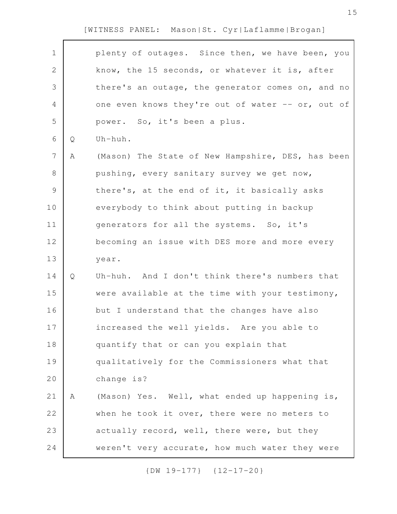| $\mathbf 1$    |   | plenty of outages. Since then, we have been, you  |
|----------------|---|---------------------------------------------------|
| $\overline{2}$ |   | know, the 15 seconds, or whatever it is, after    |
| 3              |   | there's an outage, the generator comes on, and no |
| $\overline{4}$ |   | one even knows they're out of water -- or, out of |
| 5              |   | power. So, it's been a plus.                      |
| $\sqrt{6}$     | Q | Uh-huh.                                           |
| 7              | Α | (Mason) The State of New Hampshire, DES, has been |
| $8\,$          |   | pushing, every sanitary survey we get now,        |
| $\mathsf 9$    |   | there's, at the end of it, it basically asks      |
| 10             |   | everybody to think about putting in backup        |
| 11             |   | generators for all the systems. So, it's          |
| 12             |   | becoming an issue with DES more and more every    |
| 13             |   | year.                                             |
| 14             | Q | Uh-huh. And I don't think there's numbers that    |
| 15             |   | were available at the time with your testimony,   |
| 16             |   | but I understand that the changes have also       |
| 17             |   | increased the well yields. Are you able to        |
| 18             |   | quantify that or can you explain that             |
| 19             |   | qualitatively for the Commissioners what that     |
| 20             |   | change is?                                        |
| 21             | Α | (Mason) Yes. Well, what ended up happening is,    |
| 22             |   | when he took it over, there were no meters to     |
| 23             |   | actually record, well, there were, but they       |
| 24             |   | weren't very accurate, how much water they were   |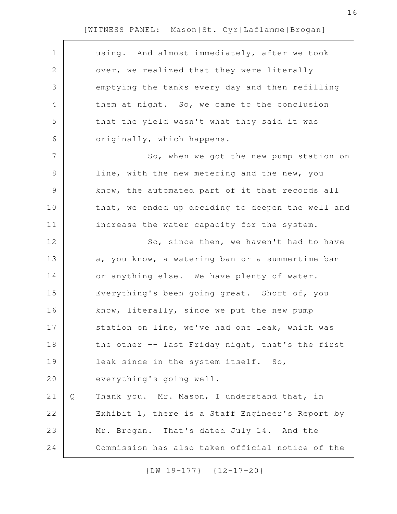| $\mathbf 1$ |   | using. And almost immediately, after we took      |
|-------------|---|---------------------------------------------------|
| 2           |   | over, we realized that they were literally        |
| 3           |   | emptying the tanks every day and then refilling   |
| 4           |   | them at night. So, we came to the conclusion      |
| 5           |   | that the yield wasn't what they said it was       |
| 6           |   | originally, which happens.                        |
| 7           |   | So, when we got the new pump station on           |
| $8\,$       |   | line, with the new metering and the new, you      |
| $\mathsf 9$ |   | know, the automated part of it that records all   |
| 10          |   | that, we ended up deciding to deepen the well and |
| 11          |   | increase the water capacity for the system.       |
| 12          |   | So, since then, we haven't had to have            |
| 13          |   | a, you know, a watering ban or a summertime ban   |
| 14          |   | or anything else. We have plenty of water.        |
| 15          |   | Everything's been going great. Short of, you      |
| 16          |   | know, literally, since we put the new pump        |
| 17          |   | station on line, we've had one leak, which was    |
| 18          |   | the other -- last Friday night, that's the first  |
| 19          |   | leak since in the system itself. So,              |
| 20          |   | everything's going well.                          |
| 21          | Q | Thank you. Mr. Mason, I understand that, in       |
| 22          |   | Exhibit 1, there is a Staff Engineer's Report by  |
| 23          |   | Mr. Brogan. That's dated July 14. And the         |
| 24          |   | Commission has also taken official notice of the  |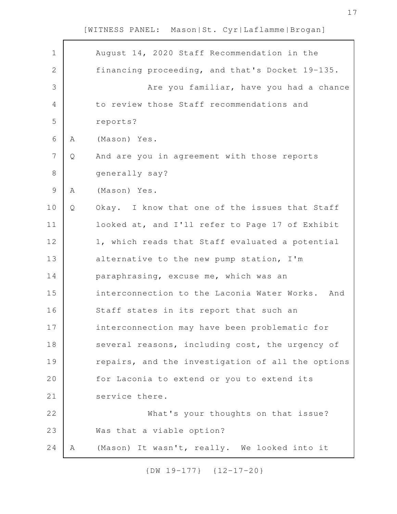| $\mathbf 1$    |   | August 14, 2020 Staff Recommendation in the       |
|----------------|---|---------------------------------------------------|
| $\overline{2}$ |   | financing proceeding, and that's Docket 19-135.   |
| 3              |   | Are you familiar, have you had a chance           |
| 4              |   | to review those Staff recommendations and         |
| 5              |   | reports?                                          |
| 6              | Α | (Mason) Yes.                                      |
| 7              | Q | And are you in agreement with those reports       |
| 8              |   | generally say?                                    |
| $\mathcal{G}$  | Α | (Mason) Yes.                                      |
| 10             | Q | Okay. I know that one of the issues that Staff    |
| 11             |   | looked at, and I'll refer to Page 17 of Exhibit   |
| 12             |   | 1, which reads that Staff evaluated a potential   |
| 13             |   | alternative to the new pump station, I'm          |
| 14             |   | paraphrasing, excuse me, which was an             |
| 15             |   | interconnection to the Laconia Water Works. And   |
| 16             |   | Staff states in its report that such an           |
| 17             |   | interconnection may have been problematic for     |
| 18             |   | several reasons, including cost, the urgency of   |
| 19             |   | repairs, and the investigation of all the options |
| 20             |   | for Laconia to extend or you to extend its        |
| 21             |   | service there.                                    |
| 22             |   | What's your thoughts on that issue?               |
| 23             |   | Was that a viable option?                         |
| 24             | Α | (Mason) It wasn't, really. We looked into it      |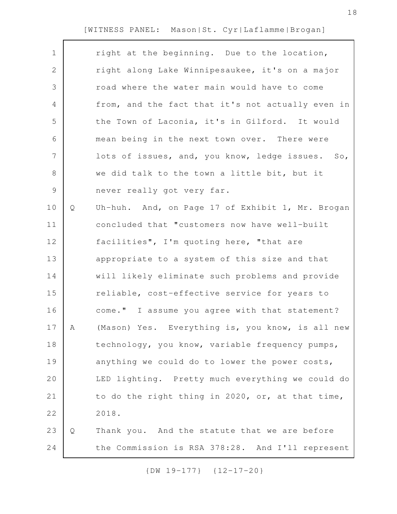| $\mathbf 1$   |   | right at the beginning. Due to the location,      |
|---------------|---|---------------------------------------------------|
| 2             |   | right along Lake Winnipesaukee, it's on a major   |
| 3             |   | road where the water main would have to come      |
| 4             |   | from, and the fact that it's not actually even in |
| 5             |   | the Town of Laconia, it's in Gilford. It would    |
| 6             |   | mean being in the next town over. There were      |
| 7             |   | lots of issues, and, you know, ledge issues. So,  |
| $8\,$         |   | we did talk to the town a little bit, but it      |
| $\mathcal{G}$ |   | never really got very far.                        |
| 10            | Q | Uh-huh. And, on Page 17 of Exhibit 1, Mr. Brogan  |
| 11            |   | concluded that "customers now have well-built     |
| 12            |   | facilities", I'm quoting here, "that are          |
| 13            |   | appropriate to a system of this size and that     |
| 14            |   | will likely eliminate such problems and provide   |
| 15            |   | reliable, cost-effective service for years to     |
| 16            |   | come." I assume you agree with that statement?    |
| 17            | A | (Mason) Yes. Everything is, you know, is all new  |
| 18            |   | technology, you know, variable frequency pumps,   |
| 19            |   | anything we could do to lower the power costs,    |
| 20            |   | LED lighting. Pretty much everything we could do  |
| 21            |   | to do the right thing in 2020, or, at that time,  |
| 22            |   | 2018.                                             |
| 23            | Q | Thank you. And the statute that we are before     |
| 24            |   | the Commission is RSA 378:28. And I'll represent  |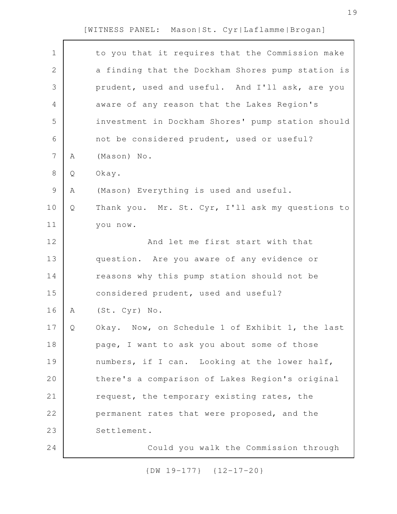| $\mathbf 1$    |   | to you that it requires that the Commission make  |
|----------------|---|---------------------------------------------------|
| $\mathbf{2}$   |   | a finding that the Dockham Shores pump station is |
| 3              |   | prudent, used and useful. And I'll ask, are you   |
| 4              |   | aware of any reason that the Lakes Region's       |
| 5              |   | investment in Dockham Shores' pump station should |
| 6              |   | not be considered prudent, used or useful?        |
| $\overline{7}$ | A | (Mason) No.                                       |
| $\,8\,$        | Q | Okay.                                             |
| $\mathcal{G}$  | A | (Mason) Everything is used and useful.            |
| 10             | Q | Thank you. Mr. St. Cyr, I'll ask my questions to  |
| 11             |   | you now.                                          |
| 12             |   | And let me first start with that                  |
| 13             |   | question. Are you aware of any evidence or        |
| 14             |   | reasons why this pump station should not be       |
| 15             |   | considered prudent, used and useful?              |
| 16             | Α | (St. Cyr) No.                                     |
| 17             | Q | Okay. Now, on Schedule 1 of Exhibit 1, the last   |
| 18             |   | page, I want to ask you about some of those       |
| 19             |   | numbers, if I can. Looking at the lower half,     |
| 20             |   | there's a comparison of Lakes Region's original   |
| 21             |   | request, the temporary existing rates, the        |
| 22             |   | permanent rates that were proposed, and the       |
| 23             |   | Settlement.                                       |
| 24             |   | Could you walk the Commission through             |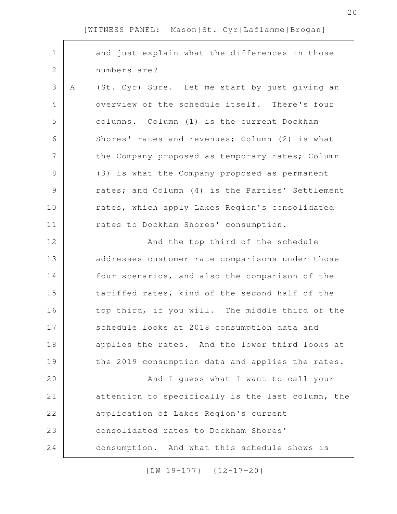| $\mathbf 1$  |   | and just explain what the differences in those    |
|--------------|---|---------------------------------------------------|
| $\mathbf{2}$ |   | numbers are?                                      |
| 3            | Α | (St. Cyr) Sure. Let me start by just giving an    |
| 4            |   | overview of the schedule itself. There's four     |
| 5            |   | columns. Column (1) is the current Dockham        |
| 6            |   | Shores' rates and revenues; Column (2) is what    |
| 7            |   | the Company proposed as temporary rates; Column   |
| 8            |   | (3) is what the Company proposed as permanent     |
| 9            |   | rates; and Column (4) is the Parties' Settlement  |
| 10           |   | rates, which apply Lakes Region's consolidated    |
| 11           |   | rates to Dockham Shores' consumption.             |
| 12           |   | And the top third of the schedule                 |
| 13           |   | addresses customer rate comparisons under those   |
| 14           |   | four scenarios, and also the comparison of the    |
| 15           |   | tariffed rates, kind of the second half of the    |
| 16           |   | top third, if you will. The middle third of the   |
| 17           |   | schedule looks at 2018 consumption data and       |
| 18           |   | applies the rates. And the lower third looks at   |
| 19           |   | the 2019 consumption data and applies the rates.  |
| 20           |   | And I guess what I want to call your              |
| 21           |   | attention to specifically is the last column, the |
| 22           |   | application of Lakes Region's current             |
| 23           |   | consolidated rates to Dockham Shores'             |
| 24           |   | consumption. And what this schedule shows is      |
|              |   |                                                   |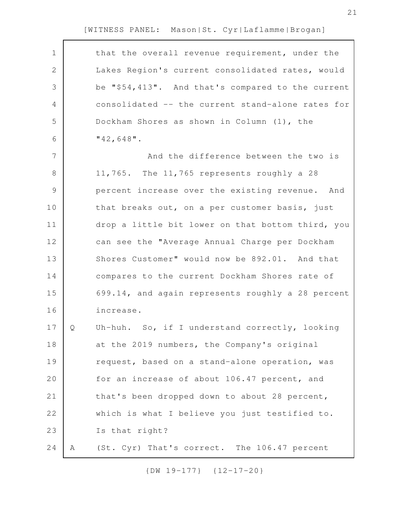| $\mathbf 1$    |   | that the overall revenue requirement, under the   |
|----------------|---|---------------------------------------------------|
| $\mathbf{2}$   |   | Lakes Region's current consolidated rates, would  |
| 3              |   | be "\$54,413". And that's compared to the current |
| $\overline{4}$ |   | consolidated -- the current stand-alone rates for |
| 5              |   | Dockham Shores as shown in Column (1), the        |
| 6              |   | $"42,648"$ .                                      |
| 7              |   | And the difference between the two is             |
| 8              |   | 11,765. The 11,765 represents roughly a 28        |
| $\mathcal{G}$  |   | percent increase over the existing revenue. And   |
| 10             |   | that breaks out, on a per customer basis, just    |
| 11             |   | drop a little bit lower on that bottom third, you |
| 12             |   | can see the "Average Annual Charge per Dockham    |
| 13             |   | Shores Customer" would now be 892.01. And that    |
| 14             |   | compares to the current Dockham Shores rate of    |
| 15             |   | 699.14, and again represents roughly a 28 percent |
| 16             |   | increase.                                         |
| 17             | Q | Uh-huh. So, if I understand correctly, looking    |
| 18             |   | at the 2019 numbers, the Company's original       |
| 19             |   | request, based on a stand-alone operation, was    |
| 20             |   | for an increase of about 106.47 percent, and      |
| 21             |   | that's been dropped down to about 28 percent,     |
| 22             |   | which is what I believe you just testified to.    |
| 23             |   | Is that right?                                    |
| 24             | Α | (St. Cyr) That's correct. The 106.47 percent      |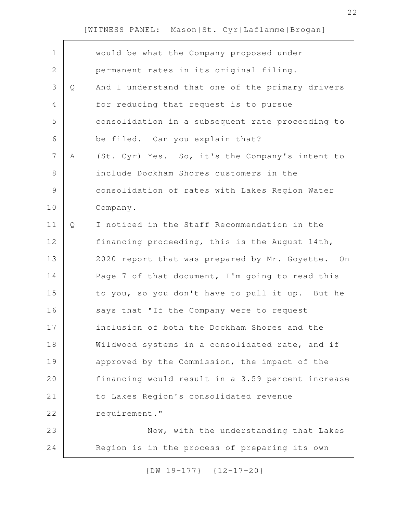| $\mathbf 1$    |   | would be what the Company proposed under          |
|----------------|---|---------------------------------------------------|
| $\mathbf{2}$   |   | permanent rates in its original filing.           |
| $\mathcal{S}$  | Q | And I understand that one of the primary drivers  |
| $\overline{4}$ |   | for reducing that request is to pursue            |
| 5              |   | consolidation in a subsequent rate proceeding to  |
| 6              |   | be filed. Can you explain that?                   |
| $\overline{7}$ | A | (St. Cyr) Yes. So, it's the Company's intent to   |
| $8\,$          |   | include Dockham Shores customers in the           |
| $\mathcal{G}$  |   | consolidation of rates with Lakes Region Water    |
| 10             |   | Company.                                          |
| 11             | Q | I noticed in the Staff Recommendation in the      |
| 12             |   | financing proceeding, this is the August 14th,    |
| 13             |   | 2020 report that was prepared by Mr. Goyette. On  |
| 14             |   | Page 7 of that document, I'm going to read this   |
| 15             |   | to you, so you don't have to pull it up. But he   |
| 16             |   | says that "If the Company were to request         |
| 17             |   | inclusion of both the Dockham Shores and the      |
| 18             |   | Wildwood systems in a consolidated rate, and if   |
| 19             |   | approved by the Commission, the impact of the     |
| 20             |   | financing would result in a 3.59 percent increase |
| 21             |   | to Lakes Region's consolidated revenue            |
| 22             |   | requirement."                                     |
| 23             |   | Now, with the understanding that Lakes            |
| 24             |   | Region is in the process of preparing its own     |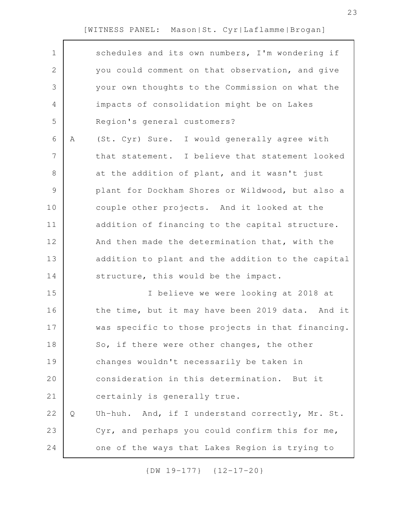|   | schedules and its own numbers, I'm wondering if   |
|---|---------------------------------------------------|
|   | you could comment on that observation, and give   |
|   | your own thoughts to the Commission on what the   |
|   | impacts of consolidation might be on Lakes        |
|   | Region's general customers?                       |
| Α | (St. Cyr) Sure. I would generally agree with      |
|   | that statement. I believe that statement looked   |
|   | at the addition of plant, and it wasn't just      |
|   | plant for Dockham Shores or Wildwood, but also a  |
|   | couple other projects. And it looked at the       |
|   | addition of financing to the capital structure.   |
|   | And then made the determination that, with the    |
|   | addition to plant and the addition to the capital |
|   | structure, this would be the impact.              |
|   | I believe we were looking at 2018 at              |
|   | the time, but it may have been 2019 data. And it  |
|   | was specific to those projects in that financing. |
|   | So, if there were other changes, the other        |
|   | changes wouldn't necessarily be taken in          |
|   | consideration in this determination. But it       |
|   | certainly is generally true.                      |
| Q | Uh-huh. And, if I understand correctly, Mr. St.   |
|   | Cyr, and perhaps you could confirm this for me,   |
|   | one of the ways that Lakes Region is trying to    |
|   |                                                   |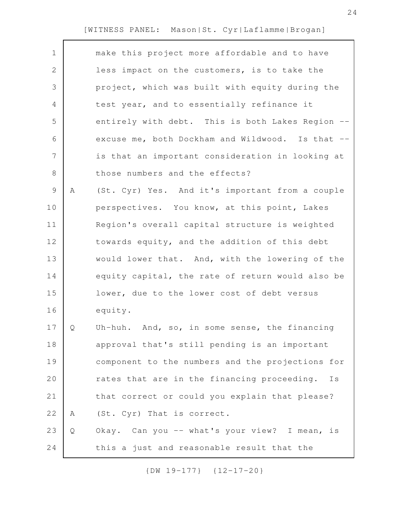| $\mathbf 1$    |   | make this project more affordable and to have     |
|----------------|---|---------------------------------------------------|
| 2              |   | less impact on the customers, is to take the      |
| 3              |   | project, which was built with equity during the   |
| 4              |   | test year, and to essentially refinance it        |
| 5              |   | entirely with debt. This is both Lakes Region --  |
| 6              |   | excuse me, both Dockham and Wildwood. Is that --  |
| $\overline{7}$ |   | is that an important consideration in looking at  |
| 8              |   | those numbers and the effects?                    |
| $\mathsf 9$    | Α | (St. Cyr) Yes. And it's important from a couple   |
| 10             |   | perspectives. You know, at this point, Lakes      |
| 11             |   | Region's overall capital structure is weighted    |
| 12             |   | towards equity, and the addition of this debt     |
| 13             |   | would lower that. And, with the lowering of the   |
| 14             |   | equity capital, the rate of return would also be  |
| 15             |   | lower, due to the lower cost of debt versus       |
| 16             |   | equity.                                           |
| 17             | Q | Uh-huh. And, so, in some sense, the financing     |
| 18             |   | approval that's still pending is an important     |
| 19             |   | component to the numbers and the projections for  |
| 20             |   | rates that are in the financing proceeding.<br>Ιs |
| 21             |   | that correct or could you explain that please?    |
| 22             | Α | (St. Cyr) That is correct.                        |
| 23             | Q | Okay. Can you -- what's your view? I mean, is     |
| 24             |   | this a just and reasonable result that the        |
|                |   |                                                   |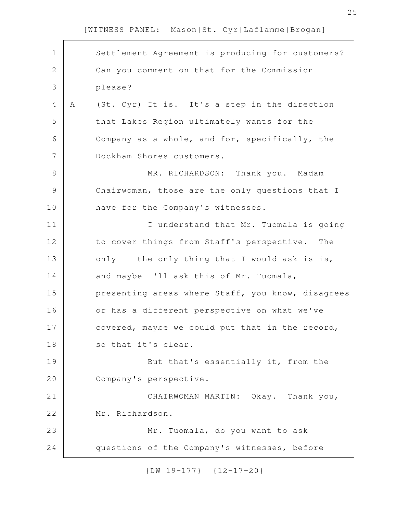| $\mathbf 1$  |   | Settlement Agreement is producing for customers?  |
|--------------|---|---------------------------------------------------|
| $\mathbf{2}$ |   | Can you comment on that for the Commission        |
| 3            |   | please?                                           |
| 4            | Α | (St. Cyr) It is. It's a step in the direction     |
| 5            |   | that Lakes Region ultimately wants for the        |
| 6            |   | Company as a whole, and for, specifically, the    |
| 7            |   | Dockham Shores customers.                         |
| 8            |   | MR. RICHARDSON: Thank you. Madam                  |
| 9            |   | Chairwoman, those are the only questions that I   |
| 10           |   | have for the Company's witnesses.                 |
| 11           |   | I understand that Mr. Tuomala is going            |
| 12           |   | to cover things from Staff's perspective. The     |
| 13           |   | only -- the only thing that I would ask is is,    |
| 14           |   | and maybe I'll ask this of Mr. Tuomala,           |
| 15           |   | presenting areas where Staff, you know, disagrees |
| 16           |   | or has a different perspective on what we've      |
| 17           |   | covered, maybe we could put that in the record,   |
| 18           |   | so that it's clear.                               |
| 19           |   | But that's essentially it, from the               |
| 20           |   | Company's perspective.                            |
| 21           |   | CHAIRWOMAN MARTIN: Okay. Thank you,               |
| 22           |   | Mr. Richardson.                                   |
| 23           |   | Mr. Tuomala, do you want to ask                   |
| 24           |   | questions of the Company's witnesses, before      |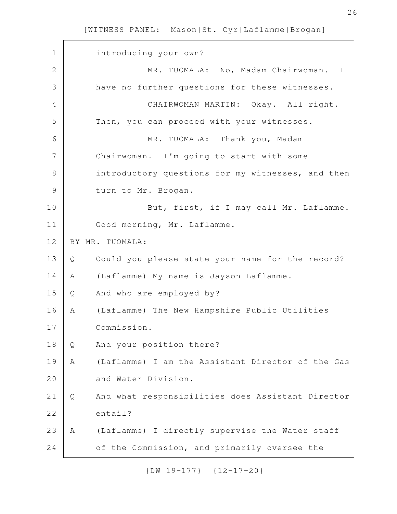introducing your own? MR. TUOMALA: No, Madam Chairwoman. I have no further questions for these witnesses. CHAIRWOMAN MARTIN: Okay. All right. Then, you can proceed with your witnesses. MR. TUOMALA: Thank you, Madam Chairwoman. I'm going to start with some introductory questions for my witnesses, and then turn to Mr. Brogan. But, first, if I may call Mr. Laflamme. Good morning, Mr. Laflamme. BY MR. TUOMALA: Q Could you please state your name for the record? A (Laflamme) My name is Jayson Laflamme. Q And who are employed by? A (Laflamme) The New Hampshire Public Utilities Commission. Q And your position there? A (Laflamme) I am the Assistant Director of the Gas and Water Division. Q And what responsibilities does Assistant Director entail? A (Laflamme) I directly supervise the Water staff of the Commission, and primarily oversee the 1 2 3 4 5 6 7 8 9 10 11 12 13 14 15 16 17 18 19 20 21 22 23 24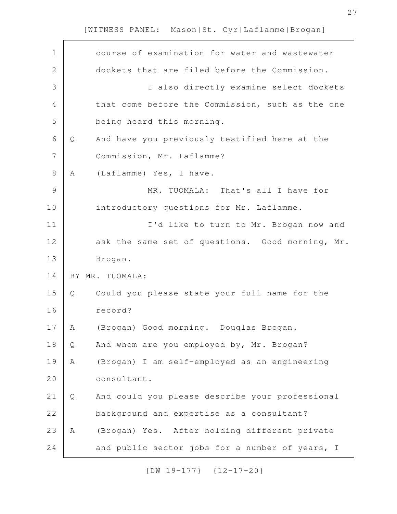| $\mathbf 1$    |   | course of examination for water and wastewater   |
|----------------|---|--------------------------------------------------|
| $\mathbf{2}$   |   | dockets that are filed before the Commission.    |
| 3              |   | I also directly examine select dockets           |
| $\overline{4}$ |   | that come before the Commission, such as the one |
| 5              |   | being heard this morning.                        |
| 6              | Q | And have you previously testified here at the    |
| 7              |   | Commission, Mr. Laflamme?                        |
| $\,8\,$        | Α | (Laflamme) Yes, I have.                          |
| $\mathcal{G}$  |   | MR. TUOMALA: That's all I have for               |
| 10             |   | introductory questions for Mr. Laflamme.         |
| 11             |   | I'd like to turn to Mr. Brogan now and           |
| 12             |   | ask the same set of questions. Good morning, Mr. |
| 13             |   | Brogan.                                          |
| 14             |   | BY MR. TUOMALA:                                  |
| 15             | Q | Could you please state your full name for the    |
| 16             |   | record?                                          |
| 17             | A | (Brogan) Good morning. Douglas Brogan.           |
| 18             | Q | And whom are you employed by, Mr. Brogan?        |
| 19             | A | (Brogan) I am self-employed as an engineering    |
| 20             |   | consultant.                                      |
| 21             | Q | And could you please describe your professional  |
| 22             |   | background and expertise as a consultant?        |
| 23             | Α | (Brogan) Yes. After holding different private    |
| 24             |   | and public sector jobs for a number of years, I  |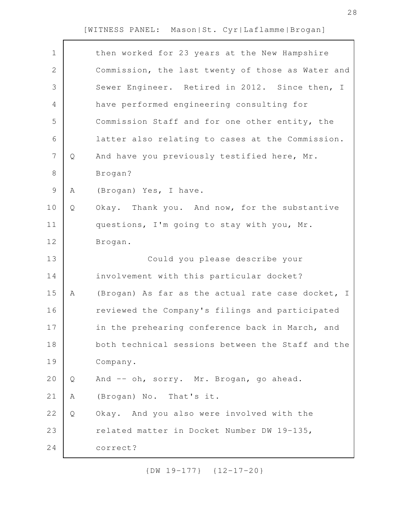| $\mathbf 1$    |   | then worked for 23 years at the New Hampshire     |
|----------------|---|---------------------------------------------------|
| $\mathbf{2}$   |   | Commission, the last twenty of those as Water and |
| 3              |   | Sewer Engineer. Retired in 2012. Since then, I    |
| 4              |   | have performed engineering consulting for         |
| 5              |   | Commission Staff and for one other entity, the    |
| 6              |   | latter also relating to cases at the Commission.  |
| $\overline{7}$ | Q | And have you previously testified here, Mr.       |
| 8              |   | Brogan?                                           |
| $\mathsf 9$    | Α | (Brogan) Yes, I have.                             |
| 10             | Q | Okay. Thank you. And now, for the substantive     |
| 11             |   | questions, I'm going to stay with you, Mr.        |
| 12             |   | Brogan.                                           |
| 13             |   | Could you please describe your                    |
| 14             |   | involvement with this particular docket?          |
| 15             | Α | (Brogan) As far as the actual rate case docket, I |
| 16             |   | reviewed the Company's filings and participated   |
| 17             |   | in the prehearing conference back in March, and   |
| 18             |   | both technical sessions between the Staff and the |
| 19             |   | Company.                                          |
| 20             | Q | And -- oh, sorry. Mr. Brogan, go ahead.           |
| 21             | Α | (Brogan) No. That's it.                           |
| 22             | Q | Okay. And you also were involved with the         |
| 23             |   | related matter in Docket Number DW 19-135,        |
| 24             |   | correct?                                          |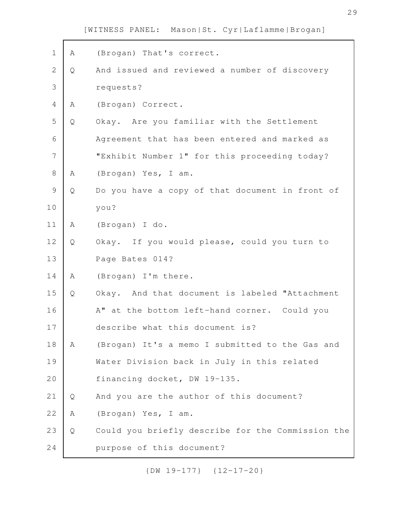| $\mathbf 1$  | Α | (Brogan) That's correct.                          |
|--------------|---|---------------------------------------------------|
| $\mathbf{2}$ | Q | And issued and reviewed a number of discovery     |
| 3            |   | requests?                                         |
| 4            | Α | (Brogan) Correct.                                 |
| 5            | Q | Okay. Are you familiar with the Settlement        |
| 6            |   | Agreement that has been entered and marked as     |
| 7            |   | "Exhibit Number 1" for this proceeding today?     |
| 8            | A | (Brogan) Yes, I am.                               |
| $\mathsf 9$  | Q | Do you have a copy of that document in front of   |
| 10           |   | you?                                              |
| 11           | A | (Brogan) I do.                                    |
| 12           | Q | Okay. If you would please, could you turn to      |
| 13           |   | Page Bates 014?                                   |
| 14           | A | (Brogan) I'm there.                               |
| 15           | Q | Okay. And that document is labeled "Attachment    |
| 16           |   | A" at the bottom left-hand corner. Could you      |
| 17           |   | describe what this document is?                   |
| 18           | Α | (Brogan) It's a memo I submitted to the Gas and   |
| 19           |   | Water Division back in July in this related       |
| 20           |   | financing docket, DW 19-135.                      |
| 21           | Q | And you are the author of this document?          |
| 22           | Α | (Brogan) Yes, I am.                               |
| 23           | Q | Could you briefly describe for the Commission the |
| 24           |   | purpose of this document?                         |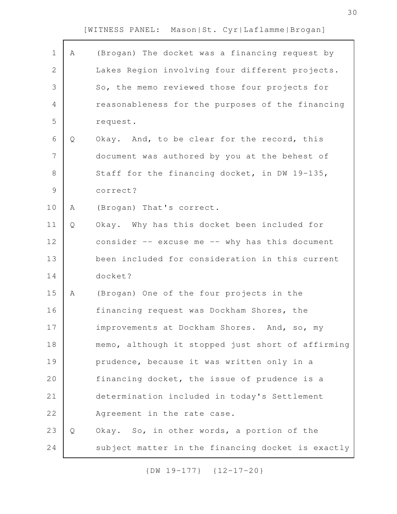| $\mathbf 1$    | Α | (Brogan) The docket was a financing request by     |
|----------------|---|----------------------------------------------------|
| $\overline{2}$ |   | Lakes Region involving four different projects.    |
| 3              |   | So, the memo reviewed those four projects for      |
| 4              |   | reasonableness for the purposes of the financing   |
| 5              |   | request.                                           |
| 6              | Q | Okay. And, to be clear for the record, this        |
| 7              |   | document was authored by you at the behest of      |
| 8              |   | Staff for the financing docket, in DW 19-135,      |
| $\mathcal{G}$  |   | correct?                                           |
| 10             | Α | (Brogan) That's correct.                           |
| 11             | Q | Okay. Why has this docket been included for        |
| 12             |   | consider $--$ excuse me $--$ why has this document |
| 13             |   | been included for consideration in this current    |
| 14             |   | docket?                                            |
| 15             | A | (Brogan) One of the four projects in the           |
| 16             |   | financing request was Dockham Shores, the          |
| 17             |   | improvements at Dockham Shores. And, so, my        |
| 18             |   | memo, although it stopped just short of affirming  |
| 19             |   | prudence, because it was written only in a         |
| 20             |   | financing docket, the issue of prudence is a       |
| 21             |   | determination included in today's Settlement       |
| 22             |   | Agreement in the rate case.                        |
| 23             | Q | Okay. So, in other words, a portion of the         |
| 24             |   | subject matter in the financing docket is exactly  |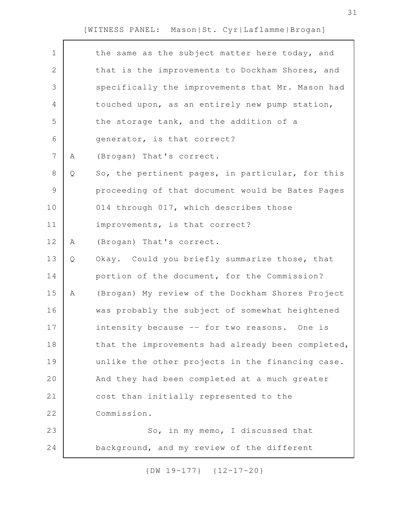| $1\,$          |   | the same as the subject matter here today, and    |
|----------------|---|---------------------------------------------------|
| $\mathbf 2$    |   | that is the improvements to Dockham Shores, and   |
| 3              |   | specifically the improvements that Mr. Mason had  |
| 4              |   | touched upon, as an entirely new pump station,    |
| 5              |   | the storage tank, and the addition of a           |
| 6              |   | generator, is that correct?                       |
| $\overline{7}$ | Α | (Brogan) That's correct.                          |
| $8\,$          | Q | So, the pertinent pages, in particular, for this  |
| $\mathcal{G}$  |   | proceeding of that document would be Bates Pages  |
| 10             |   | 014 through 017, which describes those            |
| 11             |   | improvements, is that correct?                    |
| 12             | Α | (Brogan) That's correct.                          |
| 13             | Q | Okay. Could you briefly summarize those, that     |
| 14             |   | portion of the document, for the Commission?      |
| 15             | Α | (Brogan) My review of the Dockham Shores Project  |
| 16             |   | was probably the subject of somewhat heightened   |
| 17             |   | intensity because -- for two reasons. One is      |
| 18             |   | that the improvements had already been completed, |
| 19             |   | unlike the other projects in the financing case.  |
| 20             |   | And they had been completed at a much greater     |
| 21             |   | cost than initially represented to the            |
| 22             |   | Commission.                                       |
| 23             |   | So, in my memo, I discussed that                  |
| 24             |   | background, and my review of the different        |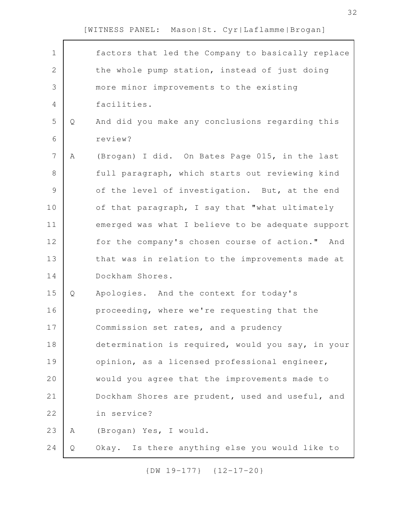| $\mathbf 1$    |             | factors that led the Company to basically replace |
|----------------|-------------|---------------------------------------------------|
| $\overline{2}$ |             | the whole pump station, instead of just doing     |
| 3              |             | more minor improvements to the existing           |
| $\overline{4}$ |             | facilities.                                       |
| 5              | Q           | And did you make any conclusions regarding this   |
| 6              |             | review?                                           |
| 7              | $\mathbb A$ | (Brogan) I did. On Bates Page 015, in the last    |
| $8\,$          |             | full paragraph, which starts out reviewing kind   |
| $\mathcal{G}$  |             | of the level of investigation. But, at the end    |
| 10             |             | of that paragraph, I say that "what ultimately    |
| 11             |             | emerged was what I believe to be adequate support |
| 12             |             | for the company's chosen course of action." And   |
| 13             |             | that was in relation to the improvements made at  |
| 14             |             | Dockham Shores.                                   |
| 15             | Q           | Apologies. And the context for today's            |
| 16             |             | proceeding, where we're requesting that the       |
| 17             |             | Commission set rates, and a prudency              |
| 18             |             | determination is required, would you say, in your |
| 19             |             | opinion, as a licensed professional engineer,     |
| 20             |             | would you agree that the improvements made to     |
| 21             |             | Dockham Shores are prudent, used and useful, and  |
| 22             |             | in service?                                       |
| 23             | A           | (Brogan) Yes, I would.                            |
| 24             | Q           | Okay. Is there anything else you would like to    |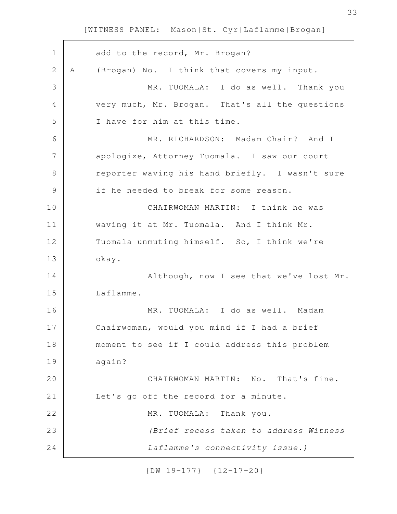| $\mathbf 1$     | add to the record, Mr. Brogan?                  |
|-----------------|-------------------------------------------------|
| $\mathbf{2}$    | (Brogan) No. I think that covers my input.<br>A |
| 3               | MR. TUOMALA: I do as well. Thank you            |
| $\overline{4}$  | very much, Mr. Brogan. That's all the questions |
| 5               | I have for him at this time.                    |
| 6               | MR. RICHARDSON: Madam Chair? And I              |
| $7\phantom{.0}$ | apologize, Attorney Tuomala. I saw our court    |
| $8\,$           | reporter waving his hand briefly. I wasn't sure |
| $\mathcal{G}$   | if he needed to break for some reason.          |
| 10              | CHAIRWOMAN MARTIN: I think he was               |
| 11              | waving it at Mr. Tuomala. And I think Mr.       |
| 12              | Tuomala unmuting himself. So, I think we're     |
| 13              | okay.                                           |
| 14              | Although, now I see that we've lost Mr.         |
| 15              | Laflamme.                                       |
| 16              | MR. TUOMALA: I do as well. Madam                |
| 17              | Chairwoman, would you mind if I had a brief     |
| 18              | moment to see if I could address this problem   |
| 19              | again?                                          |
| 20              | CHAIRWOMAN MARTIN: No. That's fine.             |
| 21              | Let's go off the record for a minute.           |
| 22              | MR. TUOMALA: Thank you.                         |
| 23              | (Brief recess taken to address Witness          |
| 24              | Laflamme's connectivity issue.)                 |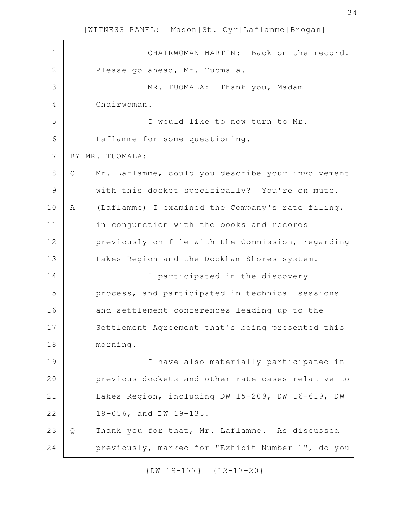CHAIRWOMAN MARTIN: Back on the record. Please go ahead, Mr. Tuomala. MR. TUOMALA: Thank you, Madam Chairwoman. I would like to now turn to Mr. Laflamme for some questioning. BY MR. TUOMALA: Q Mr. Laflamme, could you describe your involvement with this docket specifically? You're on mute. A (Laflamme) I examined the Company's rate filing, in conjunction with the books and records previously on file with the Commission, regarding Lakes Region and the Dockham Shores system. I participated in the discovery process, and participated in technical sessions and settlement conferences leading up to the Settlement Agreement that's being presented this morning. I have also materially participated in previous dockets and other rate cases relative to Lakes Region, including DW 15-209, DW 16-619, DW 18-056, and DW 19-135. Q Thank you for that, Mr. Laflamme. As discussed previously, marked for "Exhibit Number 1", do you 1 2 3 4 5 6 7 8 9 10 11 12 13 14 15 16 17 18 19 20 21 22 23 24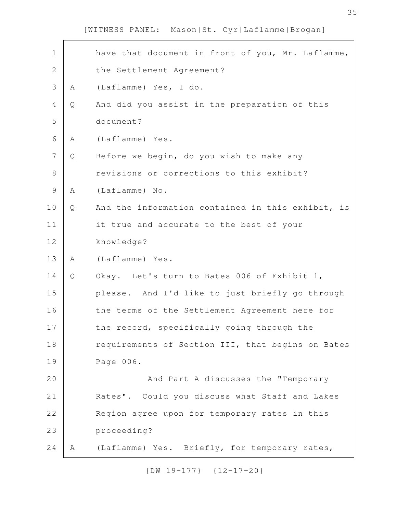|   | have that document in front of you, Mr. Laflamme, |
|---|---------------------------------------------------|
|   | the Settlement Agreement?                         |
| Α | (Laflamme) Yes, I do.                             |
| Q | And did you assist in the preparation of this     |
|   | document?                                         |
| Α | (Laflamme) Yes.                                   |
| Q | Before we begin, do you wish to make any          |
|   | revisions or corrections to this exhibit?         |
| Α | (Laflamme) No.                                    |
| Q | And the information contained in this exhibit, is |
|   | it true and accurate to the best of your          |
|   | knowledge?                                        |
| Α | (Laflamme) Yes.                                   |
| Q | Okay. Let's turn to Bates 006 of Exhibit 1,       |
|   | please. And I'd like to just briefly go through   |
|   | the terms of the Settlement Agreement here for    |
|   | the record, specifically going through the        |
|   | requirements of Section III, that begins on Bates |
|   | Page 006.                                         |
|   | And Part A discusses the "Temporary               |
|   | Rates". Could you discuss what Staff and Lakes    |
|   | Region agree upon for temporary rates in this     |
|   | proceeding?                                       |
| A | (Laflamme) Yes. Briefly, for temporary rates,     |
|   |                                                   |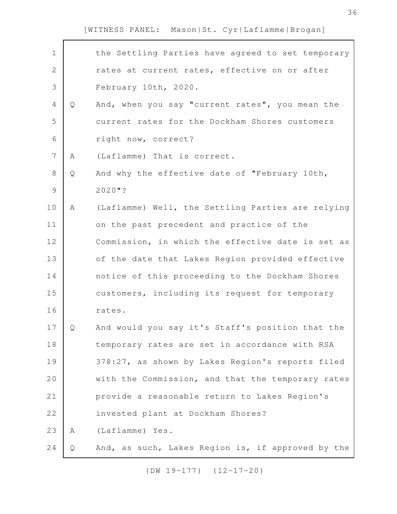| $\mathbf 1$    |   | the Settling Parties have agreed to set temporary |
|----------------|---|---------------------------------------------------|
| $\mathbf{2}$   |   | rates at current rates, effective on or after     |
| 3              |   | February 10th, 2020.                              |
| 4              | Q | And, when you say "current rates", you mean the   |
| 5              |   | current rates for the Dockham Shores customers    |
| 6              |   | right now, correct?                               |
| $\overline{7}$ | Α | (Laflamme) That is correct.                       |
| 8              | Q | And why the effective date of "February 10th,     |
| $\mathcal{G}$  |   | $2020$ "?                                         |
| 10             | Α | (Laflamme) Well, the Settling Parties are relying |
| 11             |   | on the past precedent and practice of the         |
| 12             |   | Commission, in which the effective date is set as |
| 13             |   | of the date that Lakes Region provided effective  |
| 14             |   | notice of this proceeding to the Dockham Shores   |
| 15             |   | customers, including its request for temporary    |
| 16             |   | rates.                                            |
| 17             | Q | And would you say it's Staff's position that the  |
| 18             |   | temporary rates are set in accordance with RSA    |
| 19             |   | 378:27, as shown by Lakes Region's reports filed  |
| 20             |   | with the Commission, and that the temporary rates |
| 21             |   | provide a reasonable return to Lakes Region's     |
| 22             |   | invested plant at Dockham Shores?                 |
| 23             | Α | (Laflamme) Yes.                                   |
| 24             | Q | And, as such, Lakes Region is, if approved by the |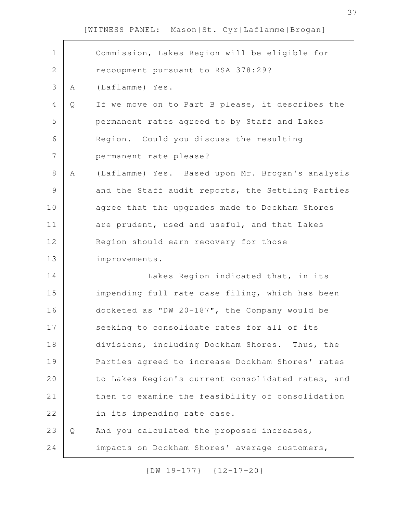| $\mathbf 1$    |   | Commission, Lakes Region will be eligible for     |
|----------------|---|---------------------------------------------------|
| 2              |   | recoupment pursuant to RSA 378:29?                |
| 3              | Α | (Laflamme) Yes.                                   |
| 4              | Q | If we move on to Part B please, it describes the  |
| 5              |   | permanent rates agreed to by Staff and Lakes      |
| 6              |   | Region. Could you discuss the resulting           |
| $\overline{7}$ |   | permanent rate please?                            |
| 8              | Α | (Laflamme) Yes. Based upon Mr. Brogan's analysis  |
| 9              |   | and the Staff audit reports, the Settling Parties |
| 10             |   | agree that the upgrades made to Dockham Shores    |
| 11             |   | are prudent, used and useful, and that Lakes      |
| 12             |   | Region should earn recovery for those             |
| 13             |   | improvements.                                     |
| 14             |   | Lakes Region indicated that, in its               |
| 15             |   | impending full rate case filing, which has been   |
| 16             |   | docketed as "DW 20-187", the Company would be     |
| 17             |   | seeking to consolidate rates for all of its       |
| 18             |   | divisions, including Dockham Shores. Thus, the    |
| 19             |   | Parties agreed to increase Dockham Shores' rates  |
| 20             |   | to Lakes Region's current consolidated rates, and |
| 21             |   | then to examine the feasibility of consolidation  |
| 22             |   | in its impending rate case.                       |
| 23             | Q | And you calculated the proposed increases,        |
| 24             |   | impacts on Dockham Shores' average customers,     |
|                |   |                                                   |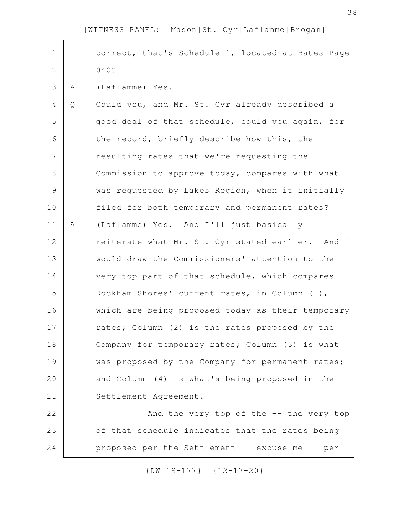correct, that's Schedule 1, located at Bates Page 040? A (Laflamme) Yes. Q Could you, and Mr. St. Cyr already described a good deal of that schedule, could you again, for the record, briefly describe how this, the resulting rates that we're requesting the Commission to approve today, compares with what was requested by Lakes Region, when it initially filed for both temporary and permanent rates? A (Laflamme) Yes. And I'll just basically reiterate what Mr. St. Cyr stated earlier. And I would draw the Commissioners' attention to the very top part of that schedule, which compares Dockham Shores' current rates, in Column (1), which are being proposed today as their temporary rates; Column (2) is the rates proposed by the Company for temporary rates; Column (3) is what was proposed by the Company for permanent rates; and Column (4) is what's being proposed in the Settlement Agreement. And the very top of the -- the very top of that schedule indicates that the rates being proposed per the Settlement -- excuse me -- per 1 2 3 4 5 6 7 8 9 10 11 12 13 14 15 16 17 18 19 20 21 22 23 24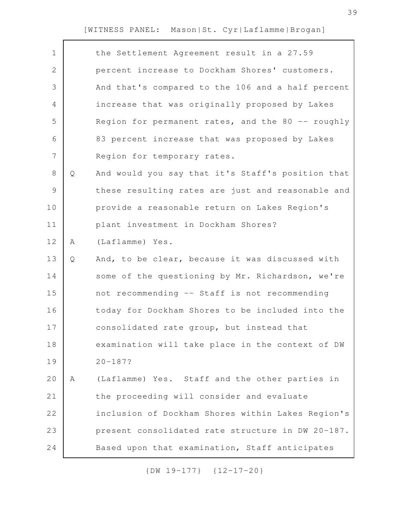| $\mathbf 1$  |   | the Settlement Agreement result in a 27.59        |
|--------------|---|---------------------------------------------------|
| $\mathbf{2}$ |   | percent increase to Dockham Shores' customers.    |
| 3            |   | And that's compared to the 106 and a half percent |
| 4            |   | increase that was originally proposed by Lakes    |
| 5            |   | Region for permanent rates, and the 80 -- roughly |
| 6            |   | 83 percent increase that was proposed by Lakes    |
| 7            |   | Region for temporary rates.                       |
| 8            | Q | And would you say that it's Staff's position that |
| $\mathsf 9$  |   | these resulting rates are just and reasonable and |
| 10           |   | provide a reasonable return on Lakes Region's     |
| 11           |   | plant investment in Dockham Shores?               |
| 12           | Α | (Laflamme) Yes.                                   |
| 13           | Q | And, to be clear, because it was discussed with   |
| 14           |   | some of the questioning by Mr. Richardson, we're  |
| 15           |   | not recommending -- Staff is not recommending     |
| 16           |   | today for Dockham Shores to be included into the  |
| 17           |   | consolidated rate group, but instead that         |
| 18           |   | examination will take place in the context of DW  |
| 19           |   | $20 - 187?$                                       |
| 20           | Α | (Laflamme) Yes. Staff and the other parties in    |
| 21           |   | the proceeding will consider and evaluate         |
| 22           |   | inclusion of Dockham Shores within Lakes Region's |
|              |   |                                                   |
| 23           |   | present consolidated rate structure in DW 20-187. |
| 24           |   | Based upon that examination, Staff anticipates    |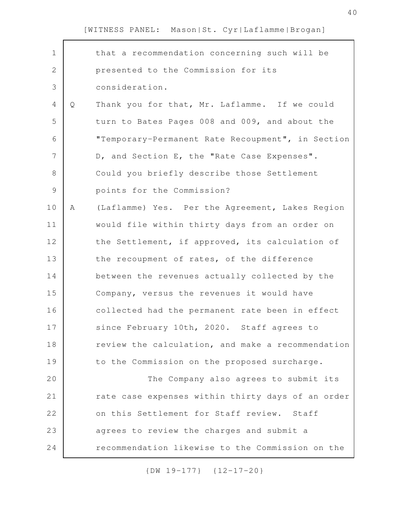| $\mathbf 1$    |   | that a recommendation concerning such will be     |
|----------------|---|---------------------------------------------------|
| $\overline{2}$ |   | presented to the Commission for its               |
| 3              |   | consideration.                                    |
| 4              | Q | Thank you for that, Mr. Laflamme. If we could     |
| 5              |   | turn to Bates Pages 008 and 009, and about the    |
| 6              |   | "Temporary-Permanent Rate Recoupment", in Section |
| 7              |   | D, and Section E, the "Rate Case Expenses".       |
| 8              |   | Could you briefly describe those Settlement       |
| $\mathcal{G}$  |   | points for the Commission?                        |
| 10             | Α | (Laflamme) Yes. Per the Agreement, Lakes Region   |
| 11             |   | would file within thirty days from an order on    |
| 12             |   | the Settlement, if approved, its calculation of   |
| 13             |   | the recoupment of rates, of the difference        |
| 14             |   | between the revenues actually collected by the    |
| 15             |   | Company, versus the revenues it would have        |
| 16             |   | collected had the permanent rate been in effect   |
| 17             |   | since February 10th, 2020. Staff agrees to        |
| 18             |   | review the calculation, and make a recommendation |
| 19             |   | to the Commission on the proposed surcharge.      |
| 20             |   | The Company also agrees to submit its             |
| 21             |   | rate case expenses within thirty days of an order |
| 22             |   | on this Settlement for Staff review. Staff        |
| 23             |   | agrees to review the charges and submit a         |
| 24             |   | recommendation likewise to the Commission on the  |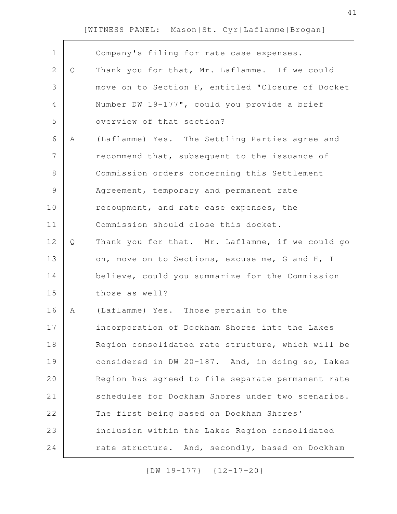| $\mathbf 1$   |   | Company's filing for rate case expenses.          |
|---------------|---|---------------------------------------------------|
| 2             | Q | Thank you for that, Mr. Laflamme. If we could     |
| 3             |   | move on to Section F, entitled "Closure of Docket |
| 4             |   | Number DW 19-177", could you provide a brief      |
| 5             |   | overview of that section?                         |
| 6             | A | (Laflamme) Yes. The Settling Parties agree and    |
| 7             |   | recommend that, subsequent to the issuance of     |
| 8             |   | Commission orders concerning this Settlement      |
| $\mathcal{G}$ |   | Agreement, temporary and permanent rate           |
| 10            |   | recoupment, and rate case expenses, the           |
| 11            |   | Commission should close this docket.              |
| 12            | Q | Thank you for that. Mr. Laflamme, if we could go  |
| 13            |   | on, move on to Sections, excuse me, G and H, I    |
| 14            |   | believe, could you summarize for the Commission   |
| 15            |   | those as well?                                    |
| 16            | A | (Laflamme) Yes. Those pertain to the              |
| 17            |   | incorporation of Dockham Shores into the Lakes    |
| 18            |   | Region consolidated rate structure, which will be |
| 19            |   | considered in DW 20-187. And, in doing so, Lakes  |
| 20            |   | Region has agreed to file separate permanent rate |
| 21            |   | schedules for Dockham Shores under two scenarios. |
| 22            |   | The first being based on Dockham Shores'          |
| 23            |   | inclusion within the Lakes Region consolidated    |
| 24            |   | rate structure. And, secondly, based on Dockham   |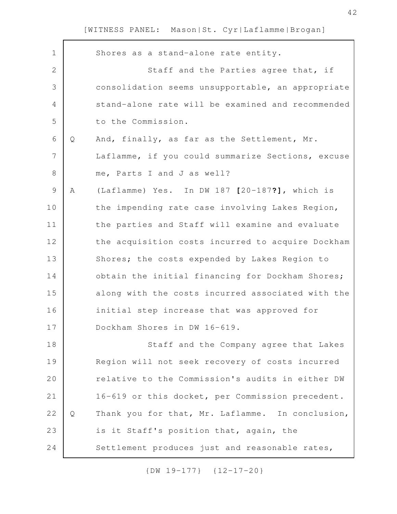|   | Shores as a stand-alone rate entity.              |
|---|---------------------------------------------------|
|   | Staff and the Parties agree that, if              |
|   | consolidation seems unsupportable, an appropriate |
|   | stand-alone rate will be examined and recommended |
|   | to the Commission.                                |
| Q | And, finally, as far as the Settlement, Mr.       |
|   | Laflamme, if you could summarize Sections, excuse |
|   | me, Parts I and J as well?                        |
| Α | (Laflamme) Yes. In DW 187 [20-187?], which is     |
|   | the impending rate case involving Lakes Region,   |
|   | the parties and Staff will examine and evaluate   |
|   | the acquisition costs incurred to acquire Dockham |
|   | Shores; the costs expended by Lakes Region to     |
|   | obtain the initial financing for Dockham Shores;  |
|   | along with the costs incurred associated with the |
|   | initial step increase that was approved for       |
|   | Dockham Shores in DW 16-619.                      |
|   | Staff and the Company agree that Lakes            |
|   | Region will not seek recovery of costs incurred   |
|   | relative to the Commission's audits in either DW  |
|   | 16-619 or this docket, per Commission precedent.  |
| Q | Thank you for that, Mr. Laflamme. In conclusion,  |
|   | is it Staff's position that, again, the           |
|   | Settlement produces just and reasonable rates,    |
|   |                                                   |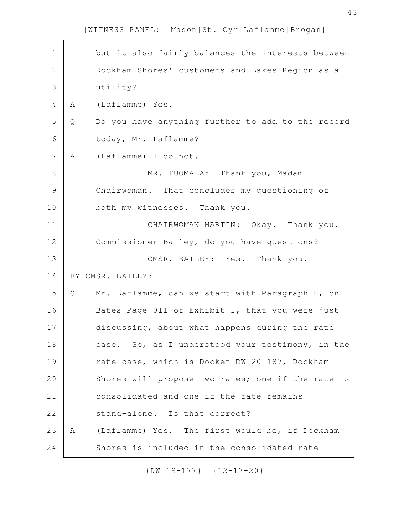43

[WITNESS PANEL: Mason|St. Cyr|Laflamme|Brogan]

| $\mathbf 1$    |   | but it also fairly balances the interests between |
|----------------|---|---------------------------------------------------|
| $\mathbf{2}$   |   | Dockham Shores' customers and Lakes Region as a   |
| 3              |   | utility?                                          |
| 4              | Α | (Laflamme) Yes.                                   |
| 5              | Q | Do you have anything further to add to the record |
| 6              |   | today, Mr. Laflamme?                              |
| $\overline{7}$ | Α | (Laflamme) I do not.                              |
| 8              |   | MR. TUOMALA: Thank you, Madam                     |
| $\mathsf 9$    |   | Chairwoman. That concludes my questioning of      |
| 10             |   | both my witnesses. Thank you.                     |
| 11             |   | CHAIRWOMAN MARTIN: Okay. Thank you.               |
| 12             |   | Commissioner Bailey, do you have questions?       |
| 13             |   | CMSR. BAILEY: Yes. Thank you.                     |
| 14             |   | BY CMSR. BAILEY:                                  |
| 15             | Q | Mr. Laflamme, can we start with Paragraph H, on   |
| 16             |   | Bates Page 011 of Exhibit 1, that you were just   |
| 17             |   | discussing, about what happens during the rate    |
| 18             |   | case. So, as I understood your testimony, in the  |
| 19             |   | rate case, which is Docket DW 20-187, Dockham     |
| 20             |   | Shores will propose two rates; one if the rate is |
| 21             |   | consolidated and one if the rate remains          |
| 22             |   | stand-alone. Is that correct?                     |
| 23             | A | (Laflamme) Yes. The first would be, if Dockham    |
| 24             |   | Shores is included in the consolidated rate       |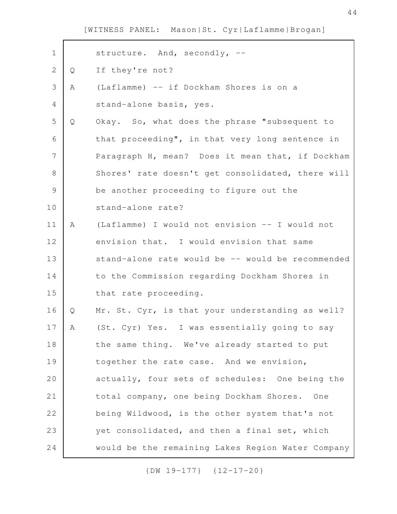| $\mathbf 1$    |   | structure. And, secondly, --                      |
|----------------|---|---------------------------------------------------|
| 2              | Q | If they're not?                                   |
| 3              | Α | (Laflamme) -- if Dockham Shores is on a           |
| 4              |   | stand-alone basis, yes.                           |
| 5              | Q | Okay. So, what does the phrase "subsequent to     |
| 6              |   | that proceeding", in that very long sentence in   |
| $\overline{7}$ |   | Paragraph H, mean? Does it mean that, if Dockham  |
| 8              |   | Shores' rate doesn't get consolidated, there will |
| $\mathsf 9$    |   | be another proceeding to figure out the           |
| 10             |   | stand-alone rate?                                 |
| 11             | Α | (Laflamme) I would not envision -- I would not    |
| 12             |   | envision that. I would envision that same         |
| 13             |   | stand-alone rate would be -- would be recommended |
| 14             |   | to the Commission regarding Dockham Shores in     |
| 15             |   | that rate proceeding.                             |
| 16             | Q | Mr. St. Cyr, is that your understanding as well?  |
| 17             | A | (St. Cyr) Yes. I was essentially going to say     |
| 18             |   | the same thing. We've already started to put      |
| 19             |   | together the rate case. And we envision,          |
| 20             |   | actually, four sets of schedules: One being the   |
| 21             |   | total company, one being Dockham Shores. One      |
| 22             |   | being Wildwood, is the other system that's not    |
| 23             |   | yet consolidated, and then a final set, which     |
| 24             |   | would be the remaining Lakes Region Water Company |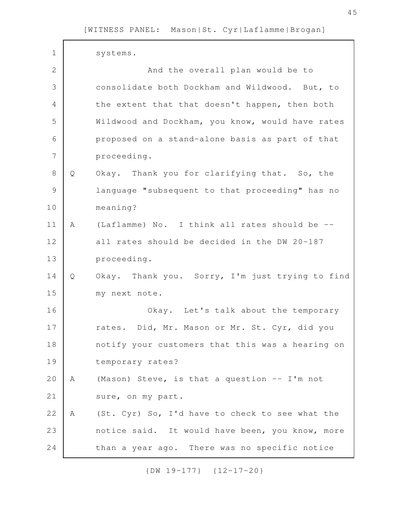| $\mathbf 1$    |   | systems.                                         |
|----------------|---|--------------------------------------------------|
| $\mathbf{2}$   |   | And the overall plan would be to                 |
|                |   |                                                  |
| 3              |   | consolidate both Dockham and Wildwood. But, to   |
| $\overline{4}$ |   | the extent that that doesn't happen, then both   |
| 5              |   | Wildwood and Dockham, you know, would have rates |
| 6              |   | proposed on a stand-alone basis as part of that  |
| 7              |   | proceeding.                                      |
| $\,8\,$        | Q | Okay. Thank you for clarifying that. So, the     |
| $\mathcal{G}$  |   | language "subsequent to that proceeding" has no  |
| 10             |   | meaning?                                         |
| 11             | Α | (Laflamme) No. I think all rates should be --    |
| 12             |   | all rates should be decided in the DW 20-187     |
| 13             |   | proceeding.                                      |
| 14             | Q | Okay. Thank you. Sorry, I'm just trying to find  |
| 15             |   | my next note.                                    |
| 16             |   | Okay. Let's talk about the temporary             |
| 17             |   | rates. Did, Mr. Mason or Mr. St. Cyr, did you    |
| 18             |   | notify your customers that this was a hearing on |
| 19             |   | temporary rates?                                 |
| 20             | Α | (Mason) Steve, is that a question -- I'm not     |
| 21             |   | sure, on my part.                                |
| 22             | Α | (St. Cyr) So, I'd have to check to see what the  |
| 23             |   | notice said. It would have been, you know, more  |
| 24             |   | than a year ago. There was no specific notice    |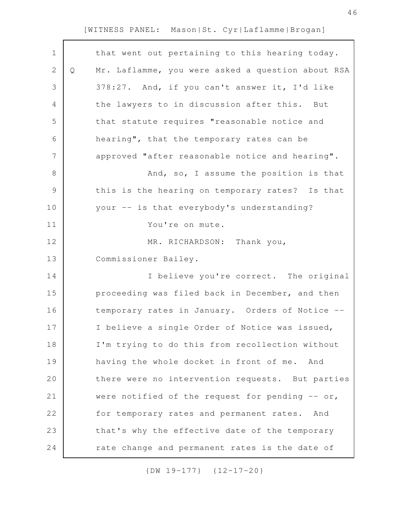| $\mathbf 1$   |   | that went out pertaining to this hearing today.   |
|---------------|---|---------------------------------------------------|
| $\mathbf{2}$  | Q | Mr. Laflamme, you were asked a question about RSA |
| 3             |   | 378:27. And, if you can't answer it, I'd like     |
| 4             |   | the lawyers to in discussion after this. But      |
| 5             |   | that statute requires "reasonable notice and      |
| 6             |   | hearing", that the temporary rates can be         |
| 7             |   | approved "after reasonable notice and hearing".   |
| 8             |   | And, so, I assume the position is that            |
| $\mathcal{G}$ |   | this is the hearing on temporary rates? Is that   |
| 10            |   | your -- is that everybody's understanding?        |
| 11            |   | You're on mute.                                   |
| 12            |   | MR. RICHARDSON: Thank you,                        |
| 13            |   | Commissioner Bailey.                              |
| 14            |   | I believe you're correct. The original            |
| 15            |   | proceeding was filed back in December, and then   |
| 16            |   | temporary rates in January. Orders of Notice --   |
| 17            |   | I believe a single Order of Notice was issued,    |
| 18            |   | I'm trying to do this from recollection without   |
| 19            |   | having the whole docket in front of me. And       |
| 20            |   | there were no intervention requests. But parties  |
| 21            |   | were notified of the request for pending $-$ or,  |
| 22            |   | for temporary rates and permanent rates. And      |
| 23            |   | that's why the effective date of the temporary    |
| 24            |   | rate change and permanent rates is the date of    |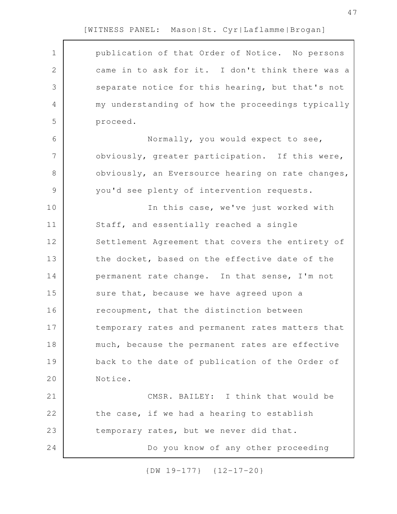| $\mathbf 1$    | publication of that Order of Notice. No persons   |
|----------------|---------------------------------------------------|
| 2              | came in to ask for it. I don't think there was a  |
| 3              | separate notice for this hearing, but that's not  |
| 4              | my understanding of how the proceedings typically |
| 5              | proceed.                                          |
| 6              | Normally, you would expect to see,                |
| $\overline{7}$ | obviously, greater participation. If this were,   |
| 8              | obviously, an Eversource hearing on rate changes, |
| $\mathsf 9$    | you'd see plenty of intervention requests.        |
| 10             | In this case, we've just worked with              |
| 11             | Staff, and essentially reached a single           |
| 12             | Settlement Agreement that covers the entirety of  |
| 13             | the docket, based on the effective date of the    |
| 14             | permanent rate change. In that sense, I'm not     |
| 15             | sure that, because we have agreed upon a          |
| 16             | recoupment, that the distinction between          |
| 17             | temporary rates and permanent rates matters that  |
| 18             | much, because the permanent rates are effective   |
| 19             | back to the date of publication of the Order of   |
| 20             | Notice.                                           |
| 21             | CMSR. BAILEY: I think that would be               |
| 22             | the case, if we had a hearing to establish        |
| 23             | temporary rates, but we never did that.           |
| 24             | Do you know of any other proceeding               |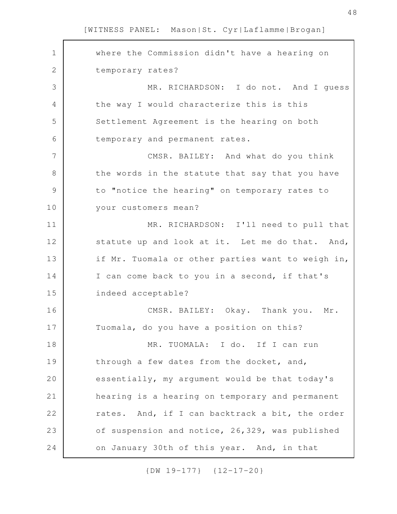| $\mathbf 1$   | where the Commission didn't have a hearing on     |
|---------------|---------------------------------------------------|
| $\mathbf{2}$  | temporary rates?                                  |
| 3             | MR. RICHARDSON: I do not. And I guess             |
| 4             | the way I would characterize this is this         |
| 5             | Settlement Agreement is the hearing on both       |
| 6             | temporary and permanent rates.                    |
| 7             | CMSR. BAILEY: And what do you think               |
| 8             | the words in the statute that say that you have   |
| $\mathcal{G}$ | to "notice the hearing" on temporary rates to     |
| 10            | your customers mean?                              |
| 11            | MR. RICHARDSON: I'll need to pull that            |
| 12            | statute up and look at it. Let me do that. And,   |
| 13            | if Mr. Tuomala or other parties want to weigh in, |
| 14            | I can come back to you in a second, if that's     |
| 15            | indeed acceptable?                                |
| 16            | CMSR. BAILEY: Okay. Thank you. Mr.                |
| 17            | Tuomala, do you have a position on this?          |
| 18            | MR. TUOMALA: I do. If I can run                   |
| 19            | through a few dates from the docket, and,         |
| 20            | essentially, my argument would be that today's    |
| 21            | hearing is a hearing on temporary and permanent   |
| 22            | rates. And, if I can backtrack a bit, the order   |
| 23            | of suspension and notice, 26,329, was published   |
| 24            | on January 30th of this year. And, in that        |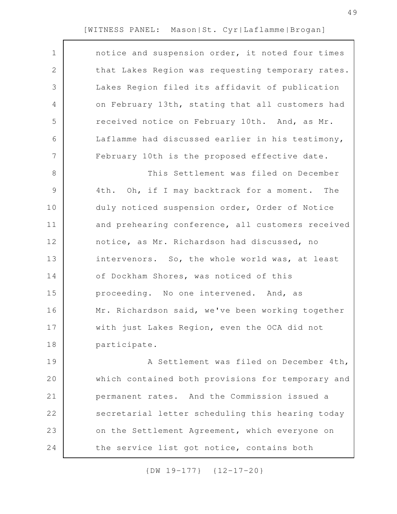| $\mathbf 1$ | notice and suspension order, it noted four times  |
|-------------|---------------------------------------------------|
| 2           | that Lakes Region was requesting temporary rates. |
| 3           | Lakes Region filed its affidavit of publication   |
| 4           | on February 13th, stating that all customers had  |
| 5           | received notice on February 10th. And, as Mr.     |
| 6           | Laflamme had discussed earlier in his testimony,  |
| 7           | February 10th is the proposed effective date.     |
| 8           | This Settlement was filed on December             |
| $\mathsf 9$ | 4th. Oh, if I may backtrack for a moment. The     |
| 10          | duly noticed suspension order, Order of Notice    |
| 11          | and prehearing conference, all customers received |
| 12          | notice, as Mr. Richardson had discussed, no       |
| 13          | intervenors. So, the whole world was, at least    |
| 14          | of Dockham Shores, was noticed of this            |
| 15          | proceeding. No one intervened. And, as            |
| 16          | Mr. Richardson said, we've been working together  |
| 17          | with just Lakes Region, even the OCA did not      |
| 18          | participate.                                      |
| 19          | A Settlement was filed on December 4th,           |
| 20          | which contained both provisions for temporary and |
| 21          | permanent rates. And the Commission issued a      |
| 22          | secretarial letter scheduling this hearing today  |
| 23          | on the Settlement Agreement, which everyone on    |

{DW 19-177} {12-17-20}

the service list got notice, contains both

24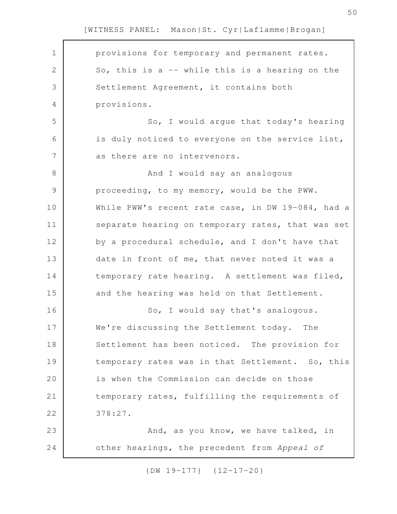provisions for temporary and permanent rates. So, this is a -- while this is a hearing on the Settlement Agreement, it contains both provisions. So, I would argue that today's hearing is duly noticed to everyone on the service list, as there are no intervenors. And I would say an analogous proceeding, to my memory, would be the PWW. While PWW's recent rate case, in DW 19-084, had a separate hearing on temporary rates, that was set by a procedural schedule, and I don't have that date in front of me, that never noted it was a temporary rate hearing. A settlement was filed, and the hearing was held on that Settlement. So, I would say that's analogous. We're discussing the Settlement today. The Settlement has been noticed. The provision for temporary rates was in that Settlement. So, this is when the Commission can decide on those temporary rates, fulfilling the requirements of 378:27. And, as you know, we have talked, in other hearings, the precedent from *Appeal of* 1 2 3 4 5 6 7 8 9 10 11 12 13 14 15 16 17 18 19 20 21 22 23 24

[WITNESS PANEL: Mason|St. Cyr|Laflamme|Brogan]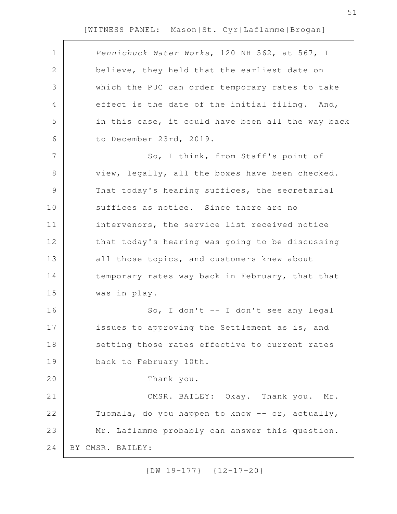| $\mathbf 1$   | Pennichuck Water Works, 120 NH 562, at 567, I     |
|---------------|---------------------------------------------------|
| 2             | believe, they held that the earliest date on      |
| 3             | which the PUC can order temporary rates to take   |
| 4             | effect is the date of the initial filing. And,    |
| 5             | in this case, it could have been all the way back |
| 6             | to December 23rd, 2019.                           |
| 7             | So, I think, from Staff's point of                |
| 8             | view, legally, all the boxes have been checked.   |
| $\mathcal{G}$ | That today's hearing suffices, the secretarial    |
| 10            | suffices as notice. Since there are no            |
| 11            | intervenors, the service list received notice     |
| 12            | that today's hearing was going to be discussing   |
| 13            | all those topics, and customers knew about        |
| 14            | temporary rates way back in February, that that   |
| 15            | was in play.                                      |
| 16            | So, I don't -- I don't see any legal              |
| 17            | issues to approving the Settlement as is, and     |
| 18            | setting those rates effective to current rates    |
| 19            | back to February 10th.                            |
| 20            | Thank you.                                        |
| 21            | CMSR. BAILEY: Okay. Thank you. Mr.                |
| 22            | Tuomala, do you happen to know -- or, actually,   |
| 23            | Mr. Laflamme probably can answer this question.   |
| 24            | BY CMSR. BAILEY:                                  |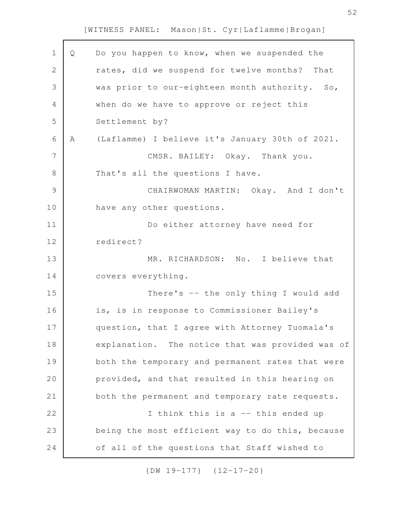| Q | Do you happen to know, when we suspended the      |
|---|---------------------------------------------------|
|   | rates, did we suspend for twelve months?<br>That  |
|   | was prior to our-eighteen month authority.<br>So, |
|   | when do we have to approve or reject this         |
|   | Settlement by?                                    |
| Α | (Laflamme) I believe it's January 30th of 2021.   |
|   | CMSR. BAILEY: Okay. Thank you.                    |
|   | That's all the questions I have.                  |
|   | CHAIRWOMAN MARTIN: Okay. And I don't              |
|   | have any other questions.                         |
|   | Do either attorney have need for                  |
|   | redirect?                                         |
|   | MR. RICHARDSON: No. I believe that                |
|   | covers everything.                                |
|   | There's -- the only thing I would add             |
|   | is, is in response to Commissioner Bailey's       |
|   | question, that I agree with Attorney Tuomala's    |
|   | explanation. The notice that was provided was of  |
|   | both the temporary and permanent rates that were  |
|   | provided, and that resulted in this hearing on    |
|   | both the permanent and temporary rate requests.   |
|   | I think this is a -- this ended up                |
|   | being the most efficient way to do this, because  |
|   | of all of the questions that Staff wished to      |
|   |                                                   |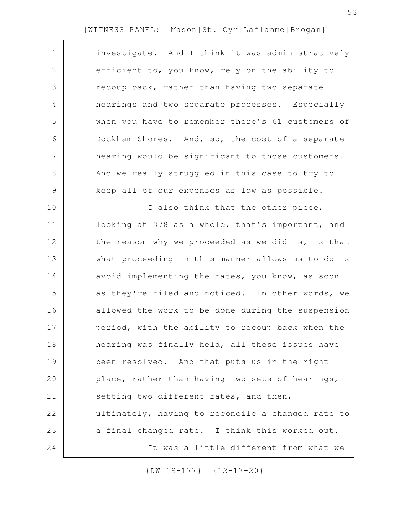| $\mathbf 1$    | investigate. And I think it was administratively  |
|----------------|---------------------------------------------------|
| 2              | efficient to, you know, rely on the ability to    |
| 3              | recoup back, rather than having two separate      |
| 4              | hearings and two separate processes. Especially   |
| 5              | when you have to remember there's 61 customers of |
| 6              | Dockham Shores. And, so, the cost of a separate   |
| $\overline{7}$ | hearing would be significant to those customers.  |
| $8\,$          | And we really struggled in this case to try to    |
| $\mathcal{G}$  | keep all of our expenses as low as possible.      |
| 10             | I also think that the other piece,                |
| 11             | looking at 378 as a whole, that's important, and  |
| 12             | the reason why we proceeded as we did is, is that |
| 13             | what proceeding in this manner allows us to do is |
| 14             | avoid implementing the rates, you know, as soon   |
| 15             | as they're filed and noticed. In other words, we  |
| 16             | allowed the work to be done during the suspension |
| 17             | period, with the ability to recoup back when the  |
| 18             | hearing was finally held, all these issues have   |
| 19             | been resolved. And that puts us in the right      |
| 20             | place, rather than having two sets of hearings,   |
| 21             | setting two different rates, and then,            |
| 22             | ultimately, having to reconcile a changed rate to |
| 23             | a final changed rate. I think this worked out.    |
| 24             | It was a little different from what we            |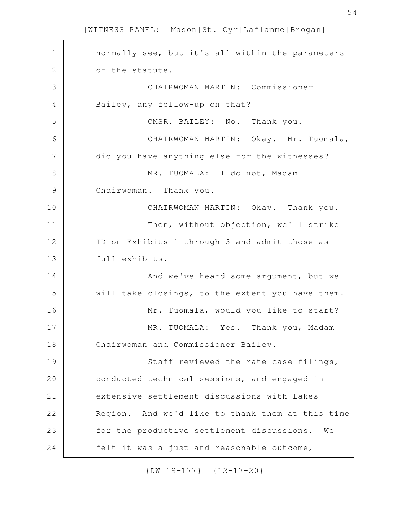| $\mathbf 1$   | normally see, but it's all within the parameters |
|---------------|--------------------------------------------------|
| $\mathbf{2}$  | of the statute.                                  |
| 3             | CHAIRWOMAN MARTIN: Commissioner                  |
| 4             | Bailey, any follow-up on that?                   |
| 5             | CMSR. BAILEY: No. Thank you.                     |
| 6             | CHAIRWOMAN MARTIN: Okay. Mr. Tuomala,            |
| 7             | did you have anything else for the witnesses?    |
| $8\,$         | MR. TUOMALA: I do not, Madam                     |
| $\mathcal{G}$ | Chairwoman. Thank you.                           |
| 10            | CHAIRWOMAN MARTIN: Okay. Thank you.              |
| 11            | Then, without objection, we'll strike            |
| 12            | ID on Exhibits 1 through 3 and admit those as    |
| 13            | full exhibits.                                   |
| 14            | And we've heard some argument, but we            |
| 15            | will take closings, to the extent you have them. |
| 16            | Mr. Tuomala, would you like to start?            |
| 17            | MR. TUOMALA: Yes. Thank you, Madam               |
| 18            | Chairwoman and Commissioner Bailey.              |
| 19            | Staff reviewed the rate case filings,            |
| 20            | conducted technical sessions, and engaged in     |
| 21            | extensive settlement discussions with Lakes      |
| 22            | Region. And we'd like to thank them at this time |
| 23            | for the productive settlement discussions.<br>We |
| 24            | felt it was a just and reasonable outcome,       |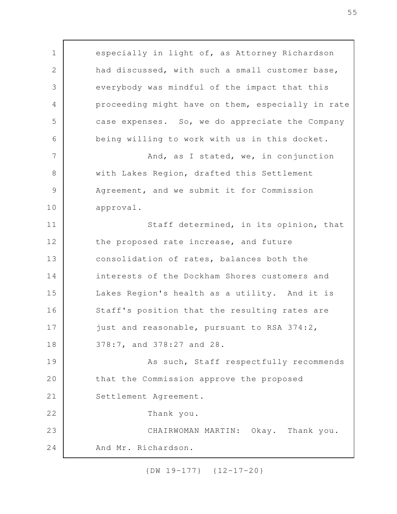especially in light of, as Attorney Richardson had discussed, with such a small customer base, everybody was mindful of the impact that this proceeding might have on them, especially in rate case expenses. So, we do appreciate the Company being willing to work with us in this docket. And, as I stated, we, in conjunction with Lakes Region, drafted this Settlement Agreement, and we submit it for Commission approval. Staff determined, in its opinion, that the proposed rate increase, and future consolidation of rates, balances both the interests of the Dockham Shores customers and Lakes Region's health as a utility. And it is Staff's position that the resulting rates are just and reasonable, pursuant to RSA 374:2, 378:7, and 378:27 and 28. As such, Staff respectfully recommends that the Commission approve the proposed Settlement Agreement. Thank you. CHAIRWOMAN MARTIN: Okay. Thank you. And Mr. Richardson. 1 2 3 4 5 6 7 8 9 10 11 12 13 14 15 16 17 18 19 20 21 22 23 24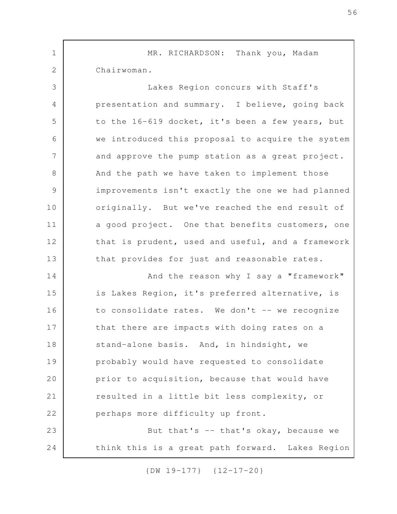MR. RICHARDSON: Thank you, Madam Chairwoman. Lakes Region concurs with Staff's presentation and summary. I believe, going back to the 16-619 docket, it's been a few years, but we introduced this proposal to acquire the system and approve the pump station as a great project. And the path we have taken to implement those improvements isn't exactly the one we had planned originally. But we've reached the end result of a good project. One that benefits customers, one that is prudent, used and useful, and a framework that provides for just and reasonable rates. And the reason why I say a "framework" is Lakes Region, it's preferred alternative, is to consolidate rates. We don't -- we recognize that there are impacts with doing rates on a stand-alone basis. And, in hindsight, we probably would have requested to consolidate prior to acquisition, because that would have resulted in a little bit less complexity, or perhaps more difficulty up front. But that's  $-$  that's okay, because we think this is a great path forward. Lakes Region 1 2 3 4 5 6 7 8 9 10 11 12 13 14 15 16 17 18 19 20 21 22 23 24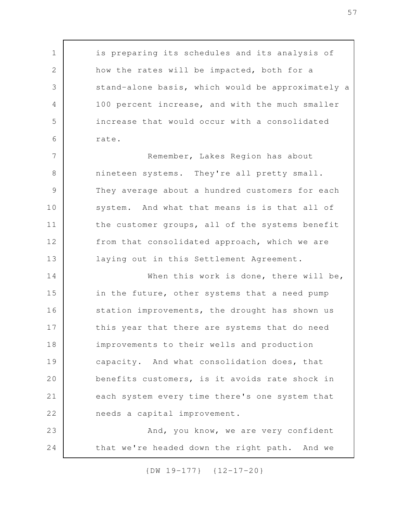is preparing its schedules and its analysis of how the rates will be impacted, both for a stand-alone basis, which would be approximately a 100 percent increase, and with the much smaller increase that would occur with a consolidated rate. Remember, Lakes Region has about nineteen systems. They're all pretty small. They average about a hundred customers for each system. And what that means is is that all of the customer groups, all of the systems benefit from that consolidated approach, which we are laying out in this Settlement Agreement. When this work is done, there will be, in the future, other systems that a need pump station improvements, the drought has shown us this year that there are systems that do need improvements to their wells and production capacity. And what consolidation does, that benefits customers, is it avoids rate shock in each system every time there's one system that needs a capital improvement. And, you know, we are very confident that we're headed down the right path. And we 1 2 3 4 5 6 7 8 9 10 11 12 13 14 15 16 17 18 19 20 21 22 23 24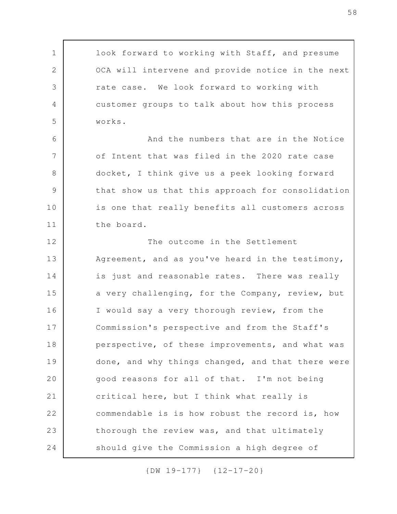look forward to working with Staff, and presume OCA will intervene and provide notice in the next rate case. We look forward to working with customer groups to talk about how this process works. And the numbers that are in the Notice of Intent that was filed in the 2020 rate case docket, I think give us a peek looking forward that show us that this approach for consolidation is one that really benefits all customers across the board. The outcome in the Settlement Agreement, and as you've heard in the testimony, is just and reasonable rates. There was really a very challenging, for the Company, review, but I would say a very thorough review, from the Commission's perspective and from the Staff's perspective, of these improvements, and what was done, and why things changed, and that there were good reasons for all of that. I'm not being critical here, but I think what really is commendable is is how robust the record is, how thorough the review was, and that ultimately should give the Commission a high degree of 1 2 3 4 5 6 7 8 9 10 11 12 13 14 15 16 17 18 19 20 21 22 23 24